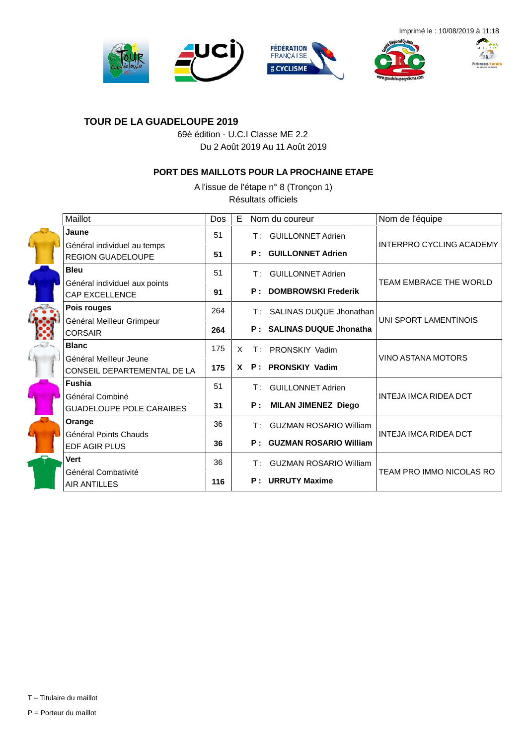







#### **TOUR DE LA GUADELOUPE 2019**

69è édition - U.C.I Classe ME 2.2 Du 2 Août 2019 Au 11 Août 2019

#### **PORT DES MAILLOTS POUR LA PROCHAINE ETAPE**

A l'issue de l'étape n° 8 (Tronçon 1) Résultats officiels

| Maillot                                                 | Dos | Е        |     | Nom du coureur                   | Nom de l'équipe                 |
|---------------------------------------------------------|-----|----------|-----|----------------------------------|---------------------------------|
| Jaune                                                   | 51  |          |     | T: GUILLONNET Adrien             |                                 |
| Général individuel au temps<br><b>REGION GUADELOUPE</b> | 51  |          |     | <b>P</b> : GUILLONNET Adrien     | <b>INTERPRO CYCLING ACADEMY</b> |
| <b>Bleu</b>                                             | 51  |          | T : | <b>GUILLONNET Adrien</b>         |                                 |
| Général individuel aux points<br><b>CAP EXCELLENCE</b>  | 91  |          |     | <b>P: DOMBROWSKI Frederik</b>    | TEAM EMBRACE THE WORLD          |
| Pois rouges                                             | 264 |          |     | T: SALINAS DUQUE Jhonathan       |                                 |
| Général Meilleur Grimpeur<br><b>CORSAIR</b>             | 264 |          |     | P: SALINAS DUQUE Jhonatha        | UNI SPORT LAMENTINOIS           |
| <b>Blanc</b>                                            | 175 | X.       |     | T: PRONSKIY Vadim                |                                 |
| Général Meilleur Jeune<br>CONSEIL DEPARTEMENTAL DE LA   | 175 | <b>X</b> |     | P: PRONSKIY Vadim                | <b>VINO ASTANA MOTORS</b>       |
| <b>Fushia</b>                                           | 51  |          | T : | <b>GUILLONNET Adrien</b>         |                                 |
| Général Combiné<br><b>GUADELOUPE POLE CARAIBES</b>      | 31  |          |     | P: MILAN JIMENEZ Diego           | INTEJA IMCA RIDEA DCT           |
| Orange                                                  | 36  |          |     | T: GUZMAN ROSARIO William        |                                 |
| Général Points Chauds<br><b>EDF AGIR PLUS</b>           | 36  |          |     | <b>P: GUZMAN ROSARIO William</b> | INTEJA IMCA RIDEA DCT           |
| <b>Vert</b>                                             | 36  |          |     | T: GUZMAN ROSARIO William        |                                 |
| Général Combativité<br><b>AIR ANTILLES</b>              | 116 |          |     | <b>P</b> : URRUTY Maxime         | TEAM PRO IMMO NICOLAS RO        |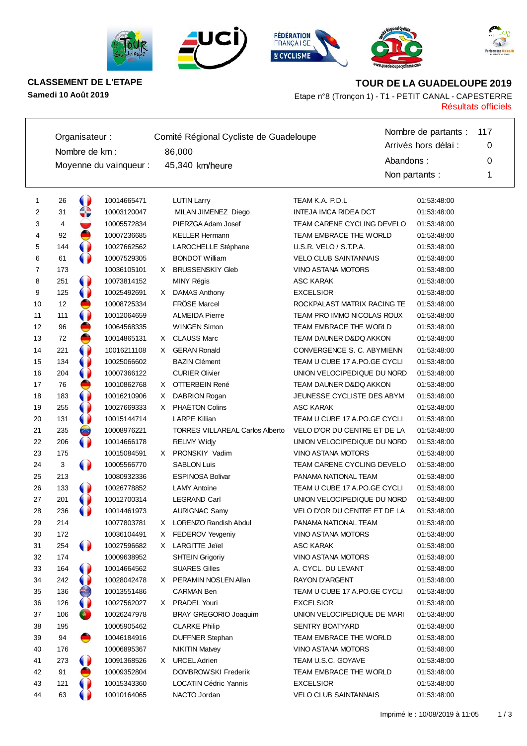









**CLASSEMENT DE L'ETAPE TOUR DE LA GUADELOUPE 2019**

Résultats officiels **Samedi 10 Août 2019** Etape n°8 (Tronçon 1) - T1 - PETIT CANAL - CAPESTERRE

|    | Organisateur: |                |                        |    | Comité Régional Cycliste de Guadeloupe |                              | Nombre de partants : | 117 |
|----|---------------|----------------|------------------------|----|----------------------------------------|------------------------------|----------------------|-----|
|    |               | Nombre de km : |                        |    | 86,000                                 |                              | Arrivés hors délai : | 0   |
|    |               |                |                        |    |                                        |                              | Abandons:            | 0   |
|    |               |                | Moyenne du vainqueur : |    | 45,340 km/heure                        |                              | Non partants :       | 1   |
| 1  | 26            | $\bullet$      | 10014665471            |    | <b>LUTIN Larry</b>                     | TEAM K.A. P.D.L              | 01:53:48:00          |     |
| 2  | 31            | ⇔              | 10003120047            |    | MILAN JIMENEZ Diego                    | INTEJA IMCA RIDEA DCT        | 01:53:48:00          |     |
| 3  | 4             |                | 10005572834            |    | PIERZGA Adam Josef                     | TEAM CARENE CYCLING DEVELO   | 01:53:48:00          |     |
| 4  | 92            | ₿              | 10007236685            |    | <b>KELLER Hermann</b>                  | TEAM EMBRACE THE WORLD       | 01:53:48:00          |     |
| 5  | 144           | 0              | 10027662562            |    | LAROCHELLE Stéphane                    | U.S.R. VELO / S.T.P.A.       | 01:53:48:00          |     |
| 6  | 61            | 0              | 10007529305            |    | <b>BONDOT William</b>                  | <b>VELO CLUB SAINTANNAIS</b> | 01:53:48:00          |     |
| 7  | 173           |                | 10036105101            |    | X BRUSSENSKIY Gleb                     | VINO ASTANA MOTORS           | 01:53:48:00          |     |
| 8  | 251           | $\bullet$      | 10073814152            |    | MINY Régis                             | <b>ASC KARAK</b>             | 01:53:48:00          |     |
| 9  | 125           | $\bullet$      | 10025492691            |    | X DAMAS Anthony                        | <b>EXCELSIOR</b>             | 01:53:48:00          |     |
| 10 | 12            |                | 10008725334            |    | FRÖSE Marcel                           | ROCKPALAST MATRIX RACING TE  | 01:53:48:00          |     |
| 11 | 111           | $\bullet$      | 10012064659            |    | <b>ALMEIDA Pierre</b>                  | TEAM PRO IMMO NICOLAS ROUX   | 01:53:48:00          |     |
| 12 | 96            |                | 10064568335            |    | <b>WINGEN Simon</b>                    | TEAM EMBRACE THE WORLD       | 01:53:48:00          |     |
| 13 | 72            | ●              | 10014865131            |    | X CLAUSS Marc                          | TEAM DAUNER D&DQ AKKON       | 01:53:48:00          |     |
| 14 | 221           | 0              | 10016211108            |    | X GERAN Ronald                         | CONVERGENCE S. C. ABYMIENN   | 01:53:48:00          |     |
| 15 | 134           | $\bullet$      | 10025066602            |    | <b>BAZIN Clément</b>                   | TEAM U CUBE 17 A.PO.GE CYCLI | 01:53:48:00          |     |
| 16 | 204           | $\bullet$      | 10007366122            |    | <b>CURIER Olivier</b>                  | UNION VELOCIPEDIQUE DU NORD  | 01:53:48:00          |     |
| 17 | 76            |                | 10010862768            |    | X OTTERBEIN René                       | TEAM DAUNER D&DQ AKKON       | 01:53:48:00          |     |
| 18 | 183           | 0              | 10016210906            |    | X DABRION Rogan                        | JEUNESSE CYCLISTE DES ABYM   | 01:53:48:00          |     |
| 19 | 255           | $\bullet$      | 10027669333            | X. | PHAËTON Colins                         | <b>ASC KARAK</b>             | 01:53:48:00          |     |
| 20 | 131           | 0              | 10015144714            |    | <b>LARPE Killian</b>                   | TEAM U CUBE 17 A.PO.GE CYCLI | 01:53:48:00          |     |
| 21 | 235           | $\bullet$      | 10008976221            |    | <b>TORRES VILLAREAL Carlos Alberto</b> | VELO D'OR DU CENTRE ET DE LA | 01:53:48:00          |     |
| 22 | 206           | $\bullet$      | 10014666178            |    | <b>RELMY Widjy</b>                     | UNION VELOCIPEDIQUE DU NORD  | 01:53:48:00          |     |
| 23 | 175           |                | 10015084591            |    | X PRONSKIY Vadim                       | <b>VINO ASTANA MOTORS</b>    | 01:53:48:00          |     |
| 24 | 3             | $\bullet$      | 10005566770            |    | <b>SABLON Luis</b>                     | TEAM CARENE CYCLING DEVELO   | 01:53:48:00          |     |
| 25 | 213           |                | 10080932336            |    | <b>ESPINOSA Bolivar</b>                | PANAMA NATIONAL TEAM         | 01:53:48:00          |     |
| 26 | 133           | $\bullet$      | 10026778852            |    | <b>LAMY Antoine</b>                    | TEAM U CUBE 17 A.PO.GE CYCLI | 01:53:48:00          |     |
| 27 | 201           |                | 10012700314            |    | <b>LEGRAND Carl</b>                    | UNION VELOCIPEDIQUE DU NORD  | 01:53:48:00          |     |
| 28 | 236           |                | 10014461973            |    | <b>AURIGNAC Samy</b>                   | VELO D'OR DU CENTRE ET DE LA | 01:53:48:00          |     |
| 29 | 214           |                | 10077803781            |    | X LORENZO Randish Abdul                | PANAMA NATIONAL TEAM         | 01:53:48:00          |     |
| 30 | 172           |                | 10036104491            |    | X FEDEROV Yevgeniy                     | VINO ASTANA MOTORS           | 01:53:48:00          |     |
| 31 | 254           | O              | 10027596682            |    | X LARGITTE Jeïel                       | <b>ASC KARAK</b>             | 01:53:48:00          |     |
| 32 | 174           |                | 10009638952            |    | <b>SHTEIN Grigoriy</b>                 | VINO ASTANA MOTORS           | 01:53:48:00          |     |
| 33 | 164           |                | 10014664562            |    | <b>SUARES Gilles</b>                   | A. CYCL. DU LEVANT           | 01:53:48:00          |     |
| 34 | 242           |                | 10028042478            |    | X PERAMIN NOSLEN Allan                 | RAYON D'ARGENT               | 01:53:48:00          |     |
| 35 | 136           | ŧ,             | 10013551486            |    | <b>CARMAN Ben</b>                      | TEAM U CUBE 17 A.PO.GE CYCLI | 01:53:48:00          |     |
| 36 | 126           |                | 10027562027            |    | X PRADEL Youri                         | <b>EXCELSIOR</b>             | 01:53:48:00          |     |
| 37 | 106           | $\bullet$      | 10026247978            |    | BRAY GREGORIO Joaquim                  | UNION VELOCIPEDIQUE DE MARI  | 01:53:48:00          |     |
| 38 | 195           |                | 10005905462            |    | <b>CLARKE Philip</b>                   | <b>SENTRY BOATYARD</b>       | 01:53:48:00          |     |
| 39 | 94            | ●              | 10046184916            |    | <b>DUFFNER Stephan</b>                 | TEAM EMBRACE THE WORLD       | 01:53:48:00          |     |
| 40 | 176           |                | 10006895367            |    | <b>NIKITIN Matvey</b>                  | VINO ASTANA MOTORS           | 01:53:48:00          |     |
| 41 | 273           | 0              | 10091368526            |    | X URCEL Adrien                         | TEAM U.S.C. GOYAVE           | 01:53:48:00          |     |
| 42 | 91            |                | 10009352804            |    | DOMBROWSKI Frederik                    | TEAM EMBRACE THE WORLD       | 01:53:48:00          |     |
| 43 | 121           |                | 10015343360            |    | <b>LOCATIN Cédric Yannis</b>           | <b>EXCELSIOR</b>             | 01:53:48:00          |     |
| 44 | 63            |                | 10010164065            |    | NACTO Jordan                           | <b>VELO CLUB SAINTANNAIS</b> | 01:53:48:00          |     |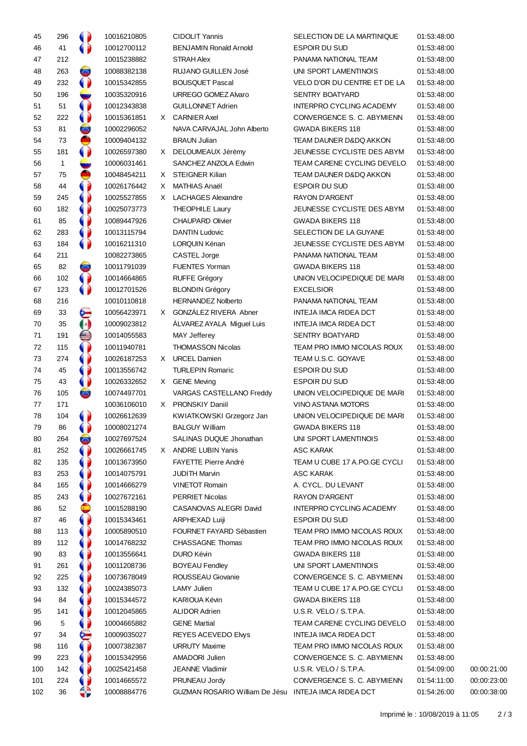| 45  | 296             |                       | 10016210805 | <b>CIDOLIT Yannis</b>                                | SELECTION DE LA MARTINIQUE        | 01:53:48:00 |             |
|-----|-----------------|-----------------------|-------------|------------------------------------------------------|-----------------------------------|-------------|-------------|
| 46  | 41              | $\bullet$             | 10012700112 | <b>BENJAMIN Ronald Arnold</b>                        | <b>ESPOIR DU SUD</b>              | 01:53:48:00 |             |
| 47  | 212             |                       | 10015238882 | <b>STRAH Alex</b>                                    | PANAMA NATIONAL TEAM              | 01:53:48:00 |             |
| 48  | 263             | $\bullet$             | 10088382138 | RUJANO GUILLEN José                                  | UNI SPORT LAMENTINOIS             | 01:53:48:00 |             |
| 49  | 232             | 0                     | 10015342855 | <b>BOUSQUET Pascal</b>                               | VELO D'OR DU CENTRE ET DE LA      | 01:53:48:00 |             |
| 50  | 196             |                       | 10035320916 | URREGO GOMEZ Alvaro                                  | <b>SENTRY BOATYARD</b>            | 01:53:48:00 |             |
| 51  | 51              | 0                     | 10012343838 | <b>GUILLONNET Adrien</b>                             | <b>INTERPRO CYCLING ACADEMY</b>   | 01:53:48:00 |             |
| 52  | 222             | $\bullet$             | 10015361851 | X CARNIER Axel                                       | CONVERGENCE S. C. ABYMIENN        | 01:53:48:00 |             |
| 53  | 81              | ۰                     | 10002296052 | NAVA CARVAJAL John Alberto                           | <b>GWADA BIKERS 118</b>           | 01:53:48:00 |             |
| 54  | 73              | ●                     | 10009404132 | <b>BRAUN Julian</b>                                  | <b>TEAM DAUNER D&amp;DQ AKKON</b> | 01:53:48:00 |             |
| 55  | 181             | 0                     | 10026597380 | X DELOUMEAUX Jérémy                                  | JEUNESSE CYCLISTE DES ABYM        | 01:53:48:00 |             |
| 56  | $\mathbf{1}$    | ست                    | 10006031461 | SANCHEZ ANZOLA Edwin                                 | TEAM CARENE CYCLING DEVELO        | 01:53:48:00 |             |
| 57  | 75              |                       | 10048454211 | X STEIGNER Kilian                                    | TEAM DAUNER D&DQ AKKON            | 01:53:48:00 |             |
| 58  | 44              |                       | 10026176442 | X MATHIAS Anaël                                      | ESPOIR DU SUD                     | 01:53:48:00 |             |
| 59  | 245             |                       | 10025527855 | X LACHAGES Alexandre                                 | RAYON D'ARGENT                    | 01:53:48:00 |             |
| 60  | 182             |                       | 10025073773 | <b>THEOPHILE Laury</b>                               | JEUNESSE CYCLISTE DES ABYM        | 01:53:48:00 |             |
| 61  | 85              |                       | 10089447926 | <b>CHAUPARD Olivier</b>                              | <b>GWADA BIKERS 118</b>           | 01:53:48:00 |             |
| 62  | 283             |                       | 10013115794 | <b>DANTIN Ludovic</b>                                | SELECTION DE LA GUYANE            | 01:53:48:00 |             |
| 63  | 184             |                       | 10016211310 | LORQUIN Kénan                                        | JEUNESSE CYCLISTE DES ABYM        | 01:53:48:00 |             |
| 64  | 211             |                       | 10082273865 | CASTEL Jorge                                         | PANAMA NATIONAL TEAM              | 01:53:48:00 |             |
|     | 82              | Ξ.                    | 10011791039 | <b>FUENTES Yorman</b>                                | <b>GWADA BIKERS 118</b>           |             |             |
| 65  | 102             |                       |             | <b>RUFFE Grégory</b>                                 | UNION VELOCIPEDIQUE DE MARI       | 01:53:48:00 |             |
| 66  |                 |                       | 10014664865 |                                                      |                                   | 01:53:48:00 |             |
| 67  | 123             | 0                     | 10012701526 | <b>BLONDIN Grégory</b><br><b>HERNANDEZ Nolberto</b>  | <b>EXCELSIOR</b>                  | 01:53:48:00 |             |
| 68  | 216             |                       | 10010110818 |                                                      | PANAMA NATIONAL TEAM              | 01:53:48:00 |             |
| 69  | 33              | G                     | 10056423971 | X GONZÁLEZ RIVERA Abner                              | INTEJA IMCA RIDEA DCT             | 01:53:48:00 |             |
| 70  | 35              | $\left(\cdot\right)$  | 10009023812 | ALVAREZ AYALA Miguel Luis                            | INTEJA IMCA RIDEA DCT             | 01:53:48:00 |             |
| 71  | 191             | e                     | 10014055583 | <b>MAY Jefferey</b>                                  | SENTRY BOATYARD                   | 01:53:48:00 |             |
| 72  | 115             |                       | 10011940781 | <b>THOMASSON Nicolas</b>                             | TEAM PRO IMMO NICOLAS ROUX        | 01:53:48:00 |             |
| 73  | 274             |                       | 10026187253 | X URCEL Damien                                       | TEAM U.S.C. GOYAVE                | 01:53:48:00 |             |
| 74  | 45              |                       | 10013556742 | <b>TURLEPIN Romaric</b>                              | ESPOIR DU SUD                     | 01:53:48:00 |             |
| 75  | 43              |                       | 10026332652 | X GENE Meving                                        | ESPOIR DU SUD                     | 01:53:48:00 |             |
| 76  | 105             | $\blacksquare$        | 10074497701 | VARGAS CASTELLANO Freddy                             | UNION VELOCIPEDIQUE DE MARI       | 01:53:48:00 |             |
| 77  | 171             |                       | 10036106010 | X PRONSKIY Daniil                                    | VINO ASTANA MOTORS                | 01:53:48:00 |             |
| 78  | 104             |                       | 10026612639 | KWIATKOWSKI Grzegorz Jan                             | UNION VELOCIPEDIQUE DE MARI       | 01:53:48:00 |             |
| 79  | 86              | $\blacksquare$<br>9 P | 10008021274 | <b>BALGUY William</b>                                | GWADA BIKERS 118                  | 01:53:48:00 |             |
| 80  | 264             | $\bullet$             | 10027697524 | SALINAS DUQUE Jhonathan                              | UNI SPORT LAMENTINOIS             | 01:53:48:00 |             |
| 81  | 252             | 0                     | 10026661745 | X ANDRE LUBIN Yanis                                  | ASC KARAK                         | 01:53:48:00 |             |
| 82  | 135             | O                     | 10013673950 | FAYETTE Pierre André                                 | TEAM U CUBE 17 A.PO.GE CYCLI      | 01:53:48:00 |             |
| 83  | 253             |                       | 10014075791 | <b>JUDITH Marvin</b>                                 | ASC KARAK                         | 01:53:48:00 |             |
| 84  | 165             |                       | 10014666279 | <b>VINETOT Romain</b>                                | A. CYCL. DU LEVANT                | 01:53:48:00 |             |
| 85  | 243             |                       | 10027672161 | <b>PERRIET Nicolas</b>                               | RAYON D'ARGENT                    | 01:53:48:00 |             |
| 86  | 52              | C                     | 10015288190 | CASANOVAS ALEGRI David                               | INTERPRO CYCLING ACADEMY          | 01:53:48:00 |             |
| 87  | 46              | 0                     | 10015343461 | ARPHEXAD Luiji                                       | <b>ESPOIR DU SUD</b>              | 01:53:48:00 |             |
| 88  | 113             | $\bullet$             | 10005890510 | FOURNET FAYARD Sébastien                             | TEAM PRO IMMO NICOLAS ROUX        | 01:53:48:00 |             |
| 89  | 112             | 0                     | 10014768232 | CHASSAGNE Thomas                                     | TEAM PRO IMMO NICOLAS ROUX        | 01:53:48:00 |             |
| 90  | 83              |                       | 10013556641 | DURO Kévin                                           | GWADA BIKERS 118                  | 01:53:48:00 |             |
| 91  | 261             |                       | 10011208736 | <b>BOYEAU Fendley</b>                                | UNI SPORT LAMENTINOIS             | 01:53:48:00 |             |
| 92  | 225             |                       | 10073678049 | ROUSSEAU Giovanie                                    | CONVERGENCE S. C. ABYMIENN        | 01:53:48:00 |             |
| 93  | 132             |                       | 10024385073 | <b>LAMY Julien</b>                                   | TEAM U CUBE 17 A.PO.GE CYCLI      | 01:53:48:00 |             |
| 94  | 84              |                       | 10015344572 | KARIOUA Kévin                                        | GWADA BIKERS 118                  | 01:53:48:00 |             |
| 95  | 141             |                       | 10012045865 | <b>ALIDOR Adrien</b>                                 | U.S.R. VELO / S.T.P.A.            | 01:53:48:00 |             |
| 96  | $5\phantom{.0}$ |                       | 10004665882 | <b>GENE Martial</b>                                  | TEAM CARENE CYCLING DEVELO        | 01:53:48:00 |             |
| 97  | 34              | e                     | 10009035027 | REYES ACEVEDO Elvys                                  | INTEJA IMCA RIDEA DCT             | 01:53:48:00 |             |
| 98  | 116             | 0                     | 10007382387 | <b>URRUTY Maxime</b>                                 | TEAM PRO IMMO NICOLAS ROUX        | 01:53:48:00 |             |
| 99  | 223             | 0                     | 10015342956 | AMADORI Julien                                       | CONVERGENCE S. C. ABYMIENN        | 01:53:48:00 |             |
| 100 | 142             | 0                     | 10025421458 | JEANNE Vladimir                                      | U.S.R. VELO / S.T.P.A.            | 01:54:09:00 | 00:00:21:00 |
| 101 | 224             |                       | 10014665572 | PRUNEAU Jordy                                        | CONVERGENCE S. C. ABYMIENN        | 01:54:11:00 | 00:00:23:00 |
| 102 | 36              |                       | 10008884776 | GUZMAN ROSARIO William De Jésu INTEJA IMCA RIDEA DCT |                                   | 01:54:26:00 | 00:00:38:00 |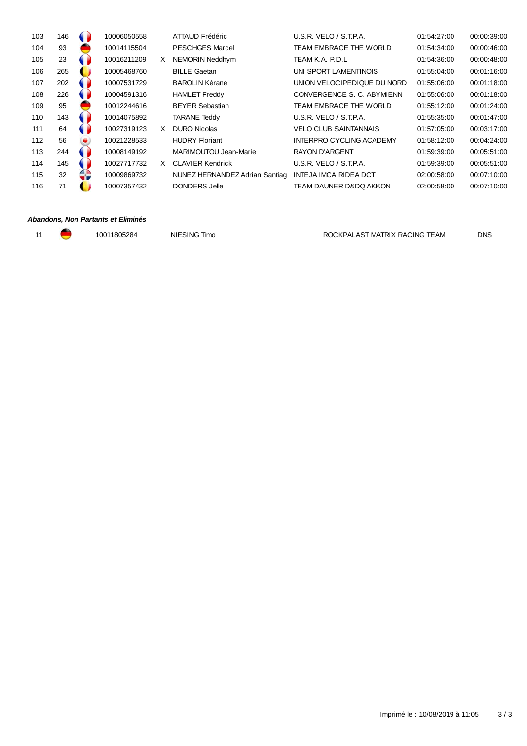| 103 | 146 |   | 10006050558 |    | ATTAUD Frédéric                | U.S.R. VELO / S.T.P.A.       | 01:54:27:00 | 00:00:39:00 |
|-----|-----|---|-------------|----|--------------------------------|------------------------------|-------------|-------------|
| 104 | 93  |   | 10014115504 |    | <b>PESCHGES Marcel</b>         | TEAM EMBRACE THE WORLD       | 01:54:34:00 | 00:00:46:00 |
| 105 | 23  |   | 10016211209 | X. | NEMORIN Neddhym                | TEAM K.A. P.D.L              | 01:54:36:00 | 00:00:48:00 |
| 106 | 265 |   | 10005468760 |    | <b>BILLE Gaetan</b>            | UNI SPORT LAMENTINOIS        | 01:55:04:00 | 00:01:16:00 |
| 107 | 202 |   | 10007531729 |    | <b>BAROLIN Kérane</b>          | UNION VELOCIPEDIQUE DU NORD  | 01:55:06:00 | 00:01:18:00 |
| 108 | 226 |   | 10004591316 |    | <b>HAMLET Freddy</b>           | CONVERGENCE S. C. ABYMIENN   | 01:55:06:00 | 00:01:18:00 |
| 109 | 95  |   | 10012244616 |    | <b>BEYER Sebastian</b>         | TEAM EMBRACE THE WORLD       | 01:55:12:00 | 00:01:24:00 |
| 110 | 143 |   | 10014075892 |    | <b>TARANE Teddy</b>            | U.S.R. VELO / S.T.P.A.       | 01:55:35:00 | 00:01:47:00 |
| 111 | 64  |   | 10027319123 | X. | <b>DURO Nicolas</b>            | <b>VELO CLUB SAINTANNAIS</b> | 01:57:05:00 | 00:03:17:00 |
| 112 | 56  | ۰ | 10021228533 |    | <b>HUDRY Floriant</b>          | INTERPRO CYCLING ACADEMY     | 01:58:12:00 | 00:04:24:00 |
| 113 | 244 |   | 10008149192 |    | MARIMOUTOU Jean-Marie          | <b>RAYON D'ARGENT</b>        | 01:59:39:00 | 00:05:51:00 |
| 114 | 145 |   | 10027717732 |    | X CLAVIER Kendrick             | $U.S.R.$ VELO / S.T.P.A.     | 01:59:39:00 | 00:05:51:00 |
| 115 | 32  |   | 10009869732 |    | NUNEZ HERNANDEZ Adrian Santiag | INTEJA IMCA RIDEA DCT        | 02:00:58:00 | 00:07:10:00 |
| 116 | 71  |   | 10007357432 |    | DONDERS Jelle                  | TEAM DAUNER D&DO AKKON       | 02:00:58:00 | 00:07:10:00 |
|     |     |   |             |    |                                |                              |             |             |

#### **Abandons, Non Partants et Eliminés**

11 10011805284 NIESING Timo ROCKPALAST MATRIX RACING TEAM DNS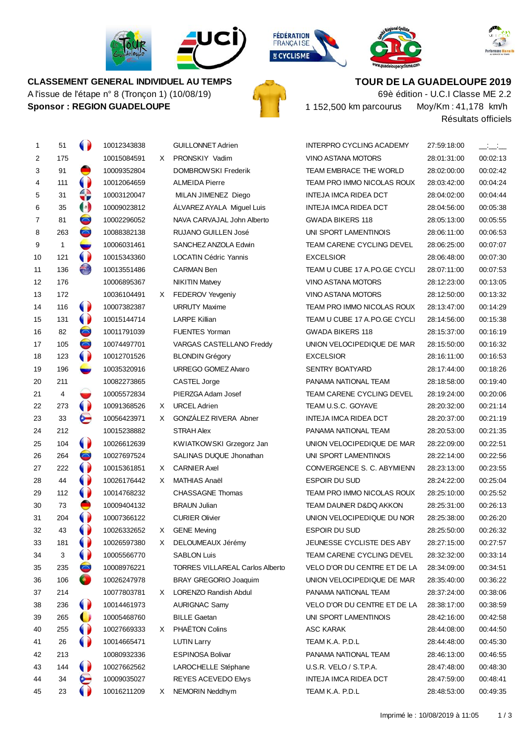

**CLASSEMENT GENERAL INDIVIDUEL AU TEMPS** A l'issue de l'étape n° 8 (Tronçon 1) (10/08/19)

**Sponsor : REGION GUADELOUPE**









**TOUR DE LA GUADELOUPE 2019**

Moy/Km :41,178 km/h 69è édition - U.C.I Classe ME 2.2 152,500 km parcourus

Résultats officiels

| 1  | 51  | $\bullet$            | 10012343838 |    | <b>GUILLONNET Adrien</b>               | <b>INTERPRO CYCLING ACADEMY</b>   | 27:59:18:00 | $\equiv$ $\equiv$ $\equiv$ |
|----|-----|----------------------|-------------|----|----------------------------------------|-----------------------------------|-------------|----------------------------|
| 2  | 175 |                      | 10015084591 | X. | PRONSKIY Vadim                         | VINO ASTANA MOTORS                | 28:01:31:00 | 00:02:13                   |
| 3  | 91  | ●                    | 10009352804 |    | DOMBROWSKI Frederik                    | TEAM EMBRACE THE WORLD            | 28:02:00:00 | 00:02:42                   |
| 4  | 111 | $\bullet$            | 10012064659 |    | <b>ALMEIDA Pierre</b>                  | TEAM PRO IMMO NICOLAS ROUX        | 28:03:42:00 | 00:04:24                   |
| 5  | 31  | €                    | 10003120047 |    | MILAN JIMENEZ Diego                    | INTEJA IMCA RIDEA DCT             | 28:04:02:00 | 00:04:44                   |
| 6  | 35  | $\left(\cdot\right)$ | 10009023812 |    | ÁLVAREZ AYALA Miguel Luis              | INTEJA IMCA RIDEA DCT             | 28:04:56:00 | 00:05:38                   |
| 7  | 81  | $\bullet$            | 10002296052 |    | NAVA CARVAJAL John Alberto             | <b>GWADA BIKERS 118</b>           | 28:05:13:00 | 00:05:55                   |
| 8  | 263 | $\bullet$            | 10088382138 |    | RUJANO GUILLEN José                    | UNI SPORT LAMENTINOIS             | 28:06:11:00 | 00:06:53                   |
| 9  | 1   | w                    | 10006031461 |    | SANCHEZ ANZOLA Edwin                   | TEAM CARENE CYCLING DEVEL         | 28:06:25:00 | 00:07:07                   |
| 10 | 121 | $\bullet$            | 10015343360 |    | <b>LOCATIN Cédric Yannis</b>           | <b>EXCELSIOR</b>                  | 28:06:48:00 | 00:07:30                   |
| 11 | 136 | €                    | 10013551486 |    | <b>CARMAN Ben</b>                      | TEAM U CUBE 17 A.PO.GE CYCLI      | 28:07:11:00 | 00:07:53                   |
| 12 | 176 |                      | 10006895367 |    | <b>NIKITIN Matvey</b>                  | VINO ASTANA MOTORS                | 28:12:23:00 | 00:13:05                   |
| 13 | 172 |                      | 10036104491 | X. | FEDEROV Yevgeniy                       | VINO ASTANA MOTORS                | 28:12:50:00 | 00:13:32                   |
| 14 | 116 | $\bullet$            | 10007382387 |    | <b>URRUTY Maxime</b>                   | TEAM PRO IMMO NICOLAS ROUX        | 28:13:47:00 | 00:14:29                   |
| 15 | 131 | $\bullet$            | 10015144714 |    | <b>LARPE Killian</b>                   | TEAM U CUBE 17 A.PO.GE CYCLI      | 28:14:56:00 | 00:15:38                   |
| 16 | 82  | $\bullet$            | 10011791039 |    | <b>FUENTES Yorman</b>                  | <b>GWADA BIKERS 118</b>           | 28:15:37:00 | 00:16:19                   |
| 17 | 105 | $\bullet$            | 10074497701 |    | VARGAS CASTELLANO Freddy               | UNION VELOCIPEDIQUE DE MAR        | 28:15:50:00 | 00:16:32                   |
| 18 | 123 | $\bullet$            | 10012701526 |    | <b>BLONDIN Grégory</b>                 | <b>EXCELSIOR</b>                  | 28:16:11:00 | 00:16:53                   |
| 19 | 196 | ست                   | 10035320916 |    | URREGO GOMEZ Alvaro                    | <b>SENTRY BOATYARD</b>            | 28:17:44:00 | 00:18:26                   |
| 20 | 211 |                      | 10082273865 |    | CASTEL Jorge                           | PANAMA NATIONAL TEAM              | 28:18:58:00 | 00:19:40                   |
| 21 | 4   |                      | 10005572834 |    | PIERZGA Adam Josef                     | TEAM CARENE CYCLING DEVEL         | 28:19:24:00 | 00:20:06                   |
| 22 | 273 | $\bullet$            | 10091368526 | X  | <b>URCEL Adrien</b>                    | TEAM U.S.C. GOYAVE                | 28:20:32:00 | 00:21:14                   |
| 23 | 33  | G                    | 10056423971 | X. | GONZALEZ RIVERA Abner                  | INTEJA IMCA RIDEA DCT             | 28:20:37:00 | 00:21:19                   |
| 24 | 212 |                      | 10015238882 |    | <b>STRAH Alex</b>                      | PANAMA NATIONAL TEAM              | 28:20:53:00 | 00:21:35                   |
| 25 | 104 | $\bullet$            | 10026612639 |    | KWIATKOWSKI Grzegorz Jan               | UNION VELOCIPEDIQUE DE MAR        | 28:22:09:00 | 00:22:51                   |
| 26 | 264 | $\bullet$            | 10027697524 |    | SALINAS DUQUE Jhonathan                | UNI SPORT LAMENTINOIS             | 28:22:14:00 | 00:22:56                   |
| 27 | 222 | $\bullet$            | 10015361851 | X. | <b>CARNIER Axel</b>                    | CONVERGENCE S. C. ABYMIENN        | 28:23:13:00 | 00:23:55                   |
| 28 | 44  | $\bullet$            | 10026176442 | X. | <b>MATHIAS Anaël</b>                   | <b>ESPOIR DU SUD</b>              | 28:24:22:00 | 00:25:04                   |
| 29 | 112 | $\bullet$            | 10014768232 |    | <b>CHASSAGNE Thomas</b>                | TEAM PRO IMMO NICOLAS ROUX        | 28:25:10:00 | 00:25:52                   |
| 30 | 73  | e                    | 10009404132 |    | <b>BRAUN Julian</b>                    | <b>TEAM DAUNER D&amp;DQ AKKON</b> | 28:25:31:00 | 00:26:13                   |
| 31 | 204 | $\bullet$            | 10007366122 |    | <b>CURIER Olivier</b>                  | UNION VELOCIPEDIQUE DU NOR        | 28:25:38:00 | 00:26:20                   |
| 32 | 43  |                      | 10026332652 | X. | <b>GENE Meving</b>                     | <b>ESPOIR DU SUD</b>              | 28:25:50:00 | 00:26:32                   |
| 33 | 181 | $\bullet$            | 10026597380 | X  | DELOUMEAUX Jérémy                      | JEUNESSE CYCLISTE DES ABY         | 28:27:15:00 | 00:27:57                   |
| 34 | 3   | 0                    | 10005566770 |    | <b>SABLON Luis</b>                     | TEAM CARENE CYCLING DEVEL         | 28:32:32:00 | 00:33:14                   |
| 35 | 235 | $\bullet$            | 10008976221 |    | <b>TORRES VILLAREAL Carlos Alberto</b> | VELO D'OR DU CENTRE ET DE LA      | 28:34:09:00 | 00:34:51                   |
| 36 | 106 | o,                   | 10026247978 |    | BRAY GREGORIO Joaquim                  | UNION VELOCIPEDIQUE DE MAR        | 28:35:40:00 | 00:36:22                   |
| 37 | 214 |                      | 10077803781 | X. | LORENZO Randish Abdul                  | PANAMA NATIONAL TEAM              | 28:37:24:00 | 00:38:06                   |
| 38 | 236 | 0                    | 10014461973 |    | <b>AURIGNAC Samy</b>                   | VELO D'OR DU CENTRE ET DE LA      | 28:38:17:00 | 00:38:59                   |
| 39 | 265 | $\mathbf{\bullet}$   | 10005468760 |    | <b>BILLE Gaetan</b>                    | UNI SPORT LAMENTINOIS             | 28:42:16:00 | 00:42:58                   |
| 40 | 255 | 0                    | 10027669333 | X. | PHAËTON Colins                         | <b>ASC KARAK</b>                  | 28:44:08:00 | 00:44:50                   |
| 41 | 26  | 0                    | 10014665471 |    | <b>LUTIN Larry</b>                     | TEAM K.A. P.D.L                   | 28:44:48:00 | 00:45:30                   |
| 42 | 213 |                      | 10080932336 |    | <b>ESPINOSA Bolivar</b>                | PANAMA NATIONAL TEAM              | 28:46:13:00 | 00:46:55                   |
| 43 | 144 | $\bullet$            | 10027662562 |    | LAROCHELLE Stéphane                    | U.S.R. VELO / S.T.P.A.            | 28:47:48:00 | 00:48:30                   |
| 44 | 34  | ဗ                    | 10009035027 |    | REYES ACEVEDO Elvys                    | INTEJA IMCA RIDEA DCT             | 28:47:59:00 | 00:48:41                   |
| 45 | 23  |                      | 10016211209 | X. | NEMORIN Neddhym                        | TEAM K.A. P.D.L                   | 28:48:53:00 | 00:49:35                   |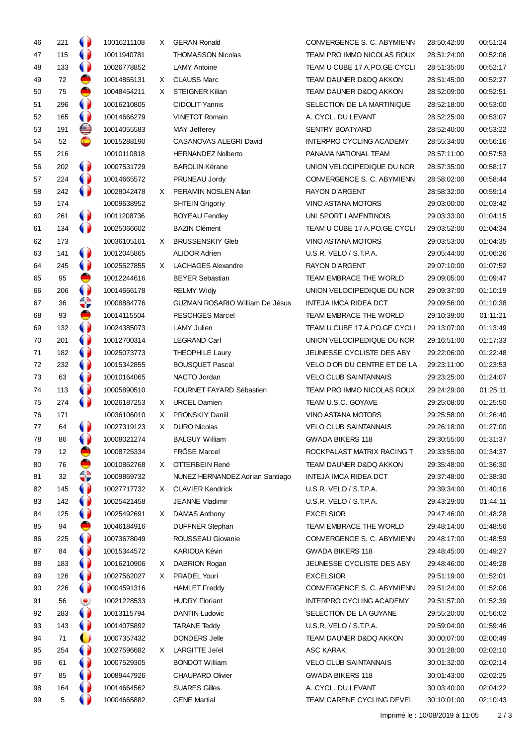| 46 | 221 | 0                      | 10016211108 | X  | <b>GERAN Ronald</b>                    | CONVERGENCE S. C. ABYMIENN      | 28:50:42:00 | 00:51:24 |
|----|-----|------------------------|-------------|----|----------------------------------------|---------------------------------|-------------|----------|
| 47 | 115 | $\bullet$              | 10011940781 |    | <b>THOMASSON Nicolas</b>               | TEAM PRO IMMO NICOLAS ROUX      | 28:51:24:00 | 00:52:06 |
| 48 | 133 | $\bullet$              | 10026778852 |    | <b>LAMY Antoine</b>                    | TEAM U CUBE 17 A.PO.GE CYCLI    | 28:51:35:00 | 00:52:17 |
| 49 | 72  | ●                      | 10014865131 | X. | <b>CLAUSS Marc</b>                     | TEAM DAUNER D&DQ AKKON          | 28:51:45:00 | 00:52:27 |
| 50 | 75  | €                      | 10048454211 | X. | <b>STEIGNER Kilian</b>                 | TEAM DAUNER D&DQ AKKON          | 28:52:09:00 | 00:52:51 |
| 51 | 296 | $\bullet$              | 10016210805 |    | <b>CIDOLIT Yannis</b>                  | SELECTION DE LA MARTINIQUE      | 28:52:18:00 | 00:53:00 |
| 52 | 165 | $\bullet$              | 10014666279 |    | <b>VINETOT Romain</b>                  | A. CYCL. DU LEVANT              | 28:52:25:00 | 00:53:07 |
| 53 | 191 | ⊜                      | 10014055583 |    | MAY Jefferey                           | <b>SENTRY BOATYARD</b>          | 28:52:40:00 | 00:53:22 |
| 54 | 52  | $\bullet$              | 10015288190 |    | CASANOVAS ALEGRI David                 | <b>INTERPRO CYCLING ACADEMY</b> | 28:55:34:00 | 00:56:16 |
| 55 | 216 |                        | 10010110818 |    | <b>HERNANDEZ Nolberto</b>              | PANAMA NATIONAL TEAM            | 28:57:11:00 | 00:57:53 |
| 56 | 202 | $\bullet$              | 10007531729 |    | <b>BAROLIN Kérane</b>                  | UNION VELOCIPEDIQUE DU NOR      | 28:57:35:00 | 00:58:17 |
| 57 | 224 | $\bullet$              | 10014665572 |    | PRUNEAU Jordy                          | CONVERGENCE S. C. ABYMIENN      | 28:58:02:00 | 00:58:44 |
| 58 | 242 | 0                      | 10028042478 | X. | PERAMIN NOSLEN Allan                   | <b>RAYON D'ARGENT</b>           | 28:58:32:00 | 00:59:14 |
| 59 | 174 |                        | 10009638952 |    | <b>SHTEIN Grigoriy</b>                 | <b>VINO ASTANA MOTORS</b>       | 29:03:00:00 | 01:03:42 |
| 60 | 261 | $\bullet$              | 10011208736 |    | <b>BOYEAU Fendley</b>                  | UNI SPORT LAMENTINOIS           | 29:03:33:00 | 01:04:15 |
| 61 | 134 | $\bullet$              | 10025066602 |    | <b>BAZIN Clément</b>                   | TEAM U CUBE 17 A.PO.GE CYCLI    | 29:03:52:00 | 01:04:34 |
| 62 | 173 |                        | 10036105101 | X  | <b>BRUSSENSKIY Gleb</b>                | <b>VINO ASTANA MOTORS</b>       | 29:03:53:00 | 01:04:35 |
| 63 | 141 | 0                      | 10012045865 |    | <b>ALIDOR Adrien</b>                   | U.S.R. VELO / S.T.P.A.          | 29:05:44:00 | 01:06:26 |
|    | 245 | $\bullet$              | 10025527855 |    | X LACHAGES Alexandre                   | <b>RAYON D'ARGENT</b>           |             |          |
| 64 | 95  | ●                      |             |    |                                        | TEAM EMBRACE THE WORLD          | 29:07:10:00 | 01:07:52 |
| 65 |     | $\bullet$              | 10012244616 |    | <b>BEYER Sebastian</b>                 |                                 | 29:09:05:00 | 01:09:47 |
| 66 | 206 |                        | 10014666178 |    | <b>RELMY Widjy</b>                     | UNION VELOCIPEDIQUE DU NOR      | 29:09:37:00 | 01:10:19 |
| 67 | 36  | 4                      | 10008884776 |    | <b>GUZMAN ROSARIO William De Jésus</b> | INTEJA IMCA RIDEA DCT           | 29:09:56:00 | 01:10:38 |
| 68 | 93  | ●                      | 10014115504 |    | <b>PESCHGES Marcel</b>                 | TEAM EMBRACE THE WORLD          | 29:10:39:00 | 01:11:21 |
| 69 | 132 | $\bullet$              | 10024385073 |    | <b>LAMY Julien</b>                     | TEAM U CUBE 17 A.PO.GE CYCLI    | 29:13:07:00 | 01:13:49 |
| 70 | 201 | $\bullet$              | 10012700314 |    | <b>LEGRAND Carl</b>                    | UNION VELOCIPEDIQUE DU NOR      | 29:16:51:00 | 01:17:33 |
| 71 | 182 | $\bullet$              | 10025073773 |    | <b>THEOPHILE Laury</b>                 | JEUNESSE CYCLISTE DES ABY       | 29:22:06:00 | 01:22:48 |
| 72 | 232 | $\bullet$              | 10015342855 |    | <b>BOUSQUET Pascal</b>                 | VELO D'OR DU CENTRE ET DE LA    | 29:23:11:00 | 01:23:53 |
| 73 | 63  | $\bullet$              | 10010164065 |    | NACTO Jordan                           | <b>VELO CLUB SAINTANNAIS</b>    | 29:23:25:00 | 01:24:07 |
| 74 | 113 | $\bullet$              | 10005890510 |    | FOURNET FAYARD Sébastien               | TEAM PRO IMMO NICOLAS ROUX      | 29:24:29:00 | 01:25:11 |
| 75 | 274 | $\bullet$              | 10026187253 | X. | <b>URCEL Damien</b>                    | TEAM U.S.C. GOYAVE              | 29:25:08:00 | 01:25:50 |
| 76 | 171 |                        | 10036106010 | X  | PRONSKIY Daniil                        | <b>VINO ASTANA MOTORS</b>       | 29:25:58:00 | 01:26:40 |
| 77 | 64  | $\bullet$              | 10027319123 | X  | <b>DURO Nicolas</b>                    | <b>VELO CLUB SAINTANNAIS</b>    | 29:26:18:00 | 01:27:00 |
| 78 | 86  | 9                      | 10008021274 |    | <b>BALGUY William</b>                  | <b>GWADA BIKERS 118</b>         | 29:30:55:00 | 01:31:37 |
| 79 | 12  | ●                      | 10008725334 |    | <b>FRÖSE Marcel</b>                    | ROCKPALAST MATRIX RACING T      | 29:33:55:00 | 01:34:37 |
| 80 | 76  | ●                      | 10010862768 | X. | OTTERBEIN René                         | TEAM DAUNER D&DQ AKKON          | 29:35:48:00 | 01:36:30 |
| 81 | 32  | 4                      | 10009869732 |    | NUNEZ HERNANDEZ Adrian Santiago        | INTEJA IMCA RIDEA DCT           | 29:37:48:00 | 01:38:30 |
| 82 | 145 | 0                      | 10027717732 | X. | <b>CLAVIER Kendrick</b>                | U.S.R. VELO / S.T.P.A.          | 29:39:34:00 | 01:40:16 |
| 83 | 142 | $\bullet$              | 10025421458 |    | JEANNE Vladimir                        | U.S.R. VELO / S.T.P.A.          | 29:43:29:00 | 01:44:11 |
| 84 | 125 | $\bullet$              | 10025492691 | X. | <b>DAMAS Anthony</b>                   | <b>EXCELSIOR</b>                | 29:47:46:00 | 01:48:28 |
| 85 | 94  | ●                      | 10046184916 |    | <b>DUFFNER Stephan</b>                 | TEAM EMBRACE THE WORLD          | 29:48:14:00 | 01:48:56 |
| 86 | 225 | $\bullet$              | 10073678049 |    | ROUSSEAU Giovanie                      | CONVERGENCE S. C. ABYMIENN      | 29:48:17:00 | 01:48:59 |
| 87 | 84  | $\bullet$              | 10015344572 |    | KARIOUA Kévin                          | <b>GWADA BIKERS 118</b>         | 29:48:45:00 | 01:49:27 |
| 88 | 183 | 0                      | 10016210906 | X  | DABRION Rogan                          | JEUNESSE CYCLISTE DES ABY       | 29:48:46:00 | 01:49:28 |
| 89 | 126 | $\bullet$              | 10027562027 | X. | PRADEL Youri                           | <b>EXCELSIOR</b>                | 29:51:19:00 | 01:52:01 |
| 90 | 226 | 0                      | 10004591316 |    | <b>HAMLET Freddy</b>                   | CONVERGENCE S. C. ABYMIENN      | 29:51:24:00 | 01:52:06 |
| 91 | 56  | ۱                      | 10021228533 |    | <b>HUDRY Floriant</b>                  | <b>INTERPRO CYCLING ACADEMY</b> | 29:51:57:00 | 01:52:39 |
| 92 | 283 | $\bullet$              | 10013115794 |    | DANTIN Ludovic                         | SELECTION DE LA GUYANE          | 29:55:20:00 | 01:56:02 |
| 93 | 143 | 0                      | 10014075892 |    | <b>TARANE Teddy</b>                    | U.S.R. VELO / S.T.P.A.          | 29:59:04:00 | 01:59:46 |
| 94 | 71  | $\mathbf{\mathcal{L}}$ | 10007357432 |    | DONDERS Jelle                          | TEAM DAUNER D&DQ AKKON          | 30:00:07:00 | 02:00:49 |
| 95 | 254 | $\bullet$              | 10027596682 | X  | <b>LARGITTE Jeïel</b>                  | ASC KARAK                       | 30:01:28:00 | 02:02:10 |
| 96 | 61  | 0                      | 10007529305 |    | <b>BONDOT William</b>                  | <b>VELO CLUB SAINTANNAIS</b>    | 30:01:32:00 | 02:02:14 |
| 97 | 85  | 0                      | 10089447926 |    | <b>CHAUPARD Olivier</b>                | <b>GWADA BIKERS 118</b>         | 30:01:43:00 | 02:02:25 |
|    | 164 | 0                      |             |    | <b>SUARES Gilles</b>                   | A. CYCL. DU LEVANT              |             |          |
| 98 |     |                        | 10014664562 |    |                                        |                                 | 30:03:40:00 | 02:04:22 |
| 99 | 5   |                        | 10004665882 |    | <b>GENE Martial</b>                    | TEAM CARENE CYCLING DEVEL       | 30:10:01:00 | 02:10:43 |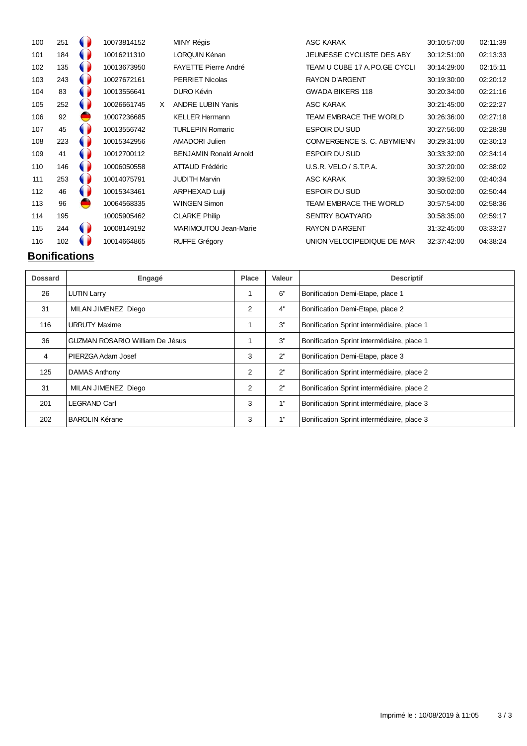| 100 | 251 |   | 10073814152 |   | <b>MINY Régis</b>             | ASC KARAK                    | 30:10:57:00 | 02:11:39 |
|-----|-----|---|-------------|---|-------------------------------|------------------------------|-------------|----------|
| 101 | 184 |   | 10016211310 |   | LORQUIN Kénan                 | JEUNESSE CYCLISTE DES ABY    | 30:12:51:00 | 02:13:33 |
| 102 | 135 |   | 10013673950 |   | <b>FAYETTE Pierre André</b>   | TEAM U CUBE 17 A.PO.GE CYCLI | 30:14:29:00 | 02:15:11 |
| 103 | 243 |   | 10027672161 |   | <b>PERRIET Nicolas</b>        | <b>RAYON D'ARGENT</b>        | 30:19:30:00 | 02:20:12 |
| 104 | 83  |   | 10013556641 |   | DURO Kévin                    | <b>GWADA BIKERS 118</b>      | 30:20:34:00 | 02:21:16 |
| 105 | 252 |   | 10026661745 | X | <b>ANDRE LUBIN Yanis</b>      | ASC KARAK                    | 30:21:45:00 | 02:22:27 |
| 106 | 92  |   | 10007236685 |   | <b>KELLER Hermann</b>         | TEAM EMBRACE THE WORLD       | 30:26:36:00 | 02:27:18 |
| 107 | 45  |   | 10013556742 |   | <b>TURLEPIN Romaric</b>       | <b>ESPOIR DU SUD</b>         | 30:27:56:00 | 02:28:38 |
| 108 | 223 |   | 10015342956 |   | AMADORI Julien                | CONVERGENCE S. C. ABYMIENN   | 30:29:31:00 | 02:30:13 |
| 109 | 41  |   | 10012700112 |   | <b>BENJAMIN Ronald Arnold</b> | <b>ESPOIR DU SUD</b>         | 30:33:32:00 | 02:34:14 |
| 110 | 146 |   | 10006050558 |   | ATTAUD Frédéric               | U.S.R. VELO / S.T.P.A.       | 30:37:20:00 | 02:38:02 |
| 111 | 253 |   | 10014075791 |   | <b>JUDITH Marvin</b>          | <b>ASC KARAK</b>             | 30:39:52:00 | 02:40:34 |
| 112 | 46  |   | 10015343461 |   | ARPHEXAD Luiji                | <b>ESPOIR DU SUD</b>         | 30:50:02:00 | 02:50:44 |
| 113 | 96  |   | 10064568335 |   | <b>WINGEN Simon</b>           | TEAM EMBRACE THE WORLD       | 30:57:54:00 | 02:58:36 |
| 114 | 195 |   | 10005905462 |   | <b>CLARKE Philip</b>          | <b>SENTRY BOATYARD</b>       | 30:58:35:00 | 02:59:17 |
| 115 | 244 | 0 | 10008149192 |   | MARIMOUTOU Jean-Marie         | <b>RAYON D'ARGENT</b>        | 31:32:45:00 | 03:33:27 |
| 116 | 102 |   | 10014664865 |   | <b>RUFFE Grégory</b>          | UNION VELOCIPEDIQUE DE MAR   | 32:37:42:00 | 04:38:24 |
|     |     |   |             |   |                               |                              |             |          |

# **Bonifications**

| <b>Dossard</b> | Engagé                                 | <b>Place</b> | Valeur | <b>Descriptif</b>                          |
|----------------|----------------------------------------|--------------|--------|--------------------------------------------|
| 26             | <b>LUTIN Larry</b>                     | 1            | 6"     | Bonification Demi-Etape, place 1           |
| 31             | MILAN JIMENEZ Diego                    | 2            | 4"     | Bonification Demi-Etape, place 2           |
| 116            | <b>URRUTY Maxime</b>                   |              | 3"     | Bonification Sprint intermédiaire, place 1 |
| 36             | <b>GUZMAN ROSARIO William De Jésus</b> | 1            | 3"     | Bonification Sprint intermédiaire, place 1 |
| 4              | PIERZGA Adam Josef                     | 3            | 2"     | Bonification Demi-Etape, place 3           |
| 125            | DAMAS Anthony                          | 2            | 2"     | Bonification Sprint intermédiaire, place 2 |
| 31             | MILAN JIMENEZ Diego                    | 2            | 2"     | Bonification Sprint intermédiaire, place 2 |
| 201            | <b>LEGRAND Carl</b>                    | 3            | 1"     | Bonification Sprint intermédiaire, place 3 |
| 202            | <b>BAROLIN Kérane</b>                  | 3            | 1"     | Bonification Sprint intermédiaire, place 3 |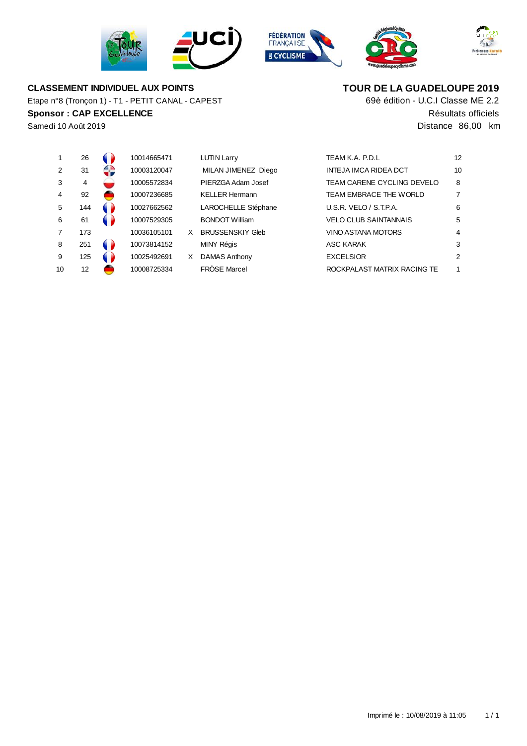







# **CLASSEMENT INDIVIDUEL AUX POINTS**

**Sponsor : CAP EXCELLENCE Résultats officiels** Etape n°8 (Tronçon 1) - T1 - PETIT CANAL - CAPEST

# **TOUR DE LA GUADELOUPE 2019**

69è édition - U.C.I Classe ME 2.2 Samedi 10 Août 2019 Distance 86,00 km

|               | 26  | 10014665471 |    | <b>LUTIN Larry</b>      | TEAM K.A. P.D.L              | 12 |
|---------------|-----|-------------|----|-------------------------|------------------------------|----|
| $\mathcal{P}$ | 31  | 10003120047 |    | MILAN JIMENEZ Diego     | INTEJA IMCA RIDEA DCT        | 10 |
| 3             | 4   | 10005572834 |    | PIERZGA Adam Josef      | TEAM CARENE CYCLING DEVELO   | 8  |
| 4             | 92  | 10007236685 |    | <b>KELLER Hermann</b>   | TEAM EMBRACE THE WORLD       |    |
| 5             | 144 | 10027662562 |    | LAROCHELLE Stéphane     | U.S.R. VELO / S.T.P.A.       | 6  |
| 6             | 61  | 10007529305 |    | <b>BONDOT William</b>   | <b>VELO CLUB SAINTANNAIS</b> | 5  |
|               | 173 | 10036105101 | X. | <b>BRUSSENSKIY Gleb</b> | <b>VINO ASTANA MOTORS</b>    | 4  |
| 8             | 251 | 10073814152 |    | MINY Régis              | ASC KARAK                    | 3  |
| 9             | 125 | 10025492691 | X  | <b>DAMAS Anthony</b>    | <b>EXCELSIOR</b>             | 2  |
| 10            | 12  | 10008725334 |    | <b>FRÖSE Marcel</b>     | ROCKPALAST MATRIX RACING TE  | 1  |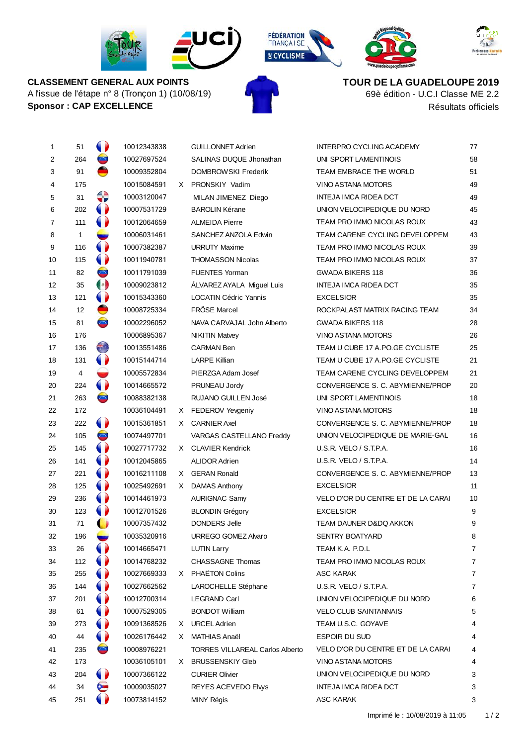









**CLASSEMENT GENERAL AUX POINTS** A l'issue de l'étape n° 8 (Tronçon 1) (10/08/19) **Sponsor :** CAP EXCELLENCE **Résultats officiels** 

**TOUR DE LA GUADELOUPE 2019**

69è édition - U.C.I Classe ME 2.2

| 1              | 51  | $\bullet$            | 10012343838 |    | <b>GUILLONNET Adrien</b>               | <b>INTERPRO CYCLING ACADEMY</b>       | 77             |
|----------------|-----|----------------------|-------------|----|----------------------------------------|---------------------------------------|----------------|
| 2              | 264 | $\bullet$            | 10027697524 |    | SALINAS DUQUE Jhonathan                | UNI SPORT LAMENTINOIS                 | 58             |
| 3              | 91  |                      | 10009352804 |    | DOMBROWSKI Frederik                    | TEAM EMBRACE THE WORLD                | 51             |
| 4              | 175 |                      | 10015084591 |    | X PRONSKIY Vadim                       | VINO ASTANA MOTORS                    | 49             |
| 5              | 31  | €                    | 10003120047 |    | MILAN JIMENEZ Diego                    | INTEJA IMCA RIDEA DCT                 | 49             |
| 6              | 202 | 0                    | 10007531729 |    | <b>BAROLIN Kérane</b>                  | UNION VELOCIPEDIQUE DU NORD           | 45             |
| $\overline{7}$ | 111 | $\bullet$            | 10012064659 |    | <b>ALMEIDA Pierre</b>                  | TEAM PRO IMMO NICOLAS ROUX            | 43             |
| 8              | 1   |                      | 10006031461 |    | SANCHEZ ANZOLA Edwin                   | TEAM CARENE CYCLING DEVELOPPEM        | 43             |
| 9              | 116 | $\bullet$            | 10007382387 |    | <b>URRUTY Maxime</b>                   | TEAM PRO IMMO NICOLAS ROUX            | 39             |
| 10             | 115 | $\bullet$            | 10011940781 |    | <b>THOMASSON Nicolas</b>               | TEAM PRO IMMO NICOLAS ROUX            | 37             |
| 11             | 82  | $\bullet$            | 10011791039 |    | <b>FUENTES Yorman</b>                  | <b>GWADA BIKERS 118</b>               | 36             |
| 12             | 35  | $\left(\cdot\right)$ | 10009023812 |    | ALVAREZ AYALA Miguel Luis              | INTEJA IMCA RIDEA DCT                 | 35             |
| 13             | 121 | $\bullet$            | 10015343360 |    | <b>LOCATIN Cédric Yannis</b>           | <b>EXCELSIOR</b>                      | 35             |
| 14             | 12  |                      | 10008725334 |    | FRÖSE Marcel                           | ROCKPALAST MATRIX RACING TEAM         | 34             |
| 15             | 81  | $\bullet$            | 10002296052 |    | NAVA CARVAJAL John Alberto             | <b>GWADA BIKERS 118</b>               | 28             |
| 16             | 176 |                      | 10006895367 |    | <b>NIKITIN Matvey</b>                  | <b>VINO ASTANA MOTORS</b>             | 26             |
| 17             | 136 | æ,                   | 10013551486 |    | <b>CARMAN Ben</b>                      | TEAM U CUBE 17 A.PO.GE CYCLISTE       | 25             |
| 18             | 131 | 0                    | 10015144714 |    | <b>LARPE Killian</b>                   | TEAM U CUBE 17 A.PO.GE CYCLISTE       | 21             |
| 19             | 4   |                      | 10005572834 |    | PIERZGA Adam Josef                     | <b>TEAM CARENE CYCLING DEVELOPPEM</b> | 21             |
| 20             | 224 | 0                    | 10014665572 |    | PRUNEAU Jordy                          | CONVERGENCE S. C. ABYMIENNE/PROP      | 20             |
| 21             | 263 | $\bullet$            | 10088382138 |    | RUJANO GUILLEN José                    | UNI SPORT LAMENTINOIS                 | 18             |
| 22             | 172 |                      | 10036104491 |    | X FEDEROV Yevgeniy                     | <b>VINO ASTANA MOTORS</b>             | 18             |
| 23             | 222 | 0                    | 10015361851 |    | X CARNIER Axel                         | CONVERGENCE S. C. ABYMIENNE/PROP      | 18             |
| 24             | 105 | $\bullet$            | 10074497701 |    | VARGAS CASTELLANO Freddy               | UNION VELOCIPEDIQUE DE MARIE-GAL      | 16             |
| 25             | 145 | $\bullet$            | 10027717732 |    | X CLAVIER Kendrick                     | U.S.R. VELO / S.T.P.A.                | 16             |
| 26             | 141 | 0                    | 10012045865 |    | <b>ALIDOR Adrien</b>                   | U.S.R. VELO / S.T.P.A.                | 14             |
| 27             | 221 | $\bullet$            | 10016211108 |    | X GERAN Ronald                         | CONVERGENCE S. C. ABYMIENNE/PROP      | 13             |
| 28             | 125 | $\bullet$            | 10025492691 | X. | <b>DAMAS Anthony</b>                   | <b>EXCELSIOR</b>                      | 11             |
| 29             | 236 | $\bullet$            | 10014461973 |    | <b>AURIGNAC Samy</b>                   | VELO D'OR DU CENTRE ET DE LA CARAI    | 10             |
| 30             | 123 | 0                    | 10012701526 |    | <b>BLONDIN Grégory</b>                 | <b>EXCELSIOR</b>                      | 9              |
| 31             | 71  | $\bullet$            | 10007357432 |    | <b>DONDERS Jelle</b>                   | TEAM DAUNER D&DQ AKKON                | 9              |
| 32             | 196 |                      | 10035320916 |    | URREGO GOMEZ Alvaro                    | SENTRY BOATYARD                       | 8              |
| 33             | 26  |                      | 10014665471 |    | <b>LUTIN Larry</b>                     | TEAM K.A. P.D.L                       | 7              |
| 34             | 112 |                      | 10014768232 |    | CHASSAGNE Thomas                       | TEAM PRO IMMO NICOLAS ROUX            | $\overline{7}$ |
| 35             | 255 |                      | 10027669333 |    | X PHAËTON Colins                       | ASC KARAK                             | 7              |
| 36             | 144 |                      | 10027662562 |    | LAROCHELLE Stéphane                    | U.S.R. VELO / S.T.P.A.                | $\overline{7}$ |
| 37             | 201 |                      | 10012700314 |    | <b>LEGRAND Carl</b>                    | UNION VELOCIPEDIQUE DU NORD           | 6              |
| 38             | 61  |                      | 10007529305 |    | <b>BONDOT William</b>                  | <b>VELO CLUB SAINTANNAIS</b>          | 5              |
| 39             | 273 |                      | 10091368526 |    | X URCEL Adrien                         | TEAM U.S.C. GOYAVE                    | 4              |
| 40             | 44  |                      | 10026176442 |    | X MATHIAS Anaël                        | <b>ESPOIR DU SUD</b>                  | 4              |
| 41             | 235 | ۳                    | 10008976221 |    | <b>TORRES VILLAREAL Carlos Alberto</b> | VELO D'OR DU CENTRE ET DE LA CARAI    | 4              |
| 42             | 173 |                      | 10036105101 |    | X BRUSSENSKIY Gleb                     | VINO ASTANA MOTORS                    | 4              |
| 43             | 204 | 0                    | 10007366122 |    | <b>CURIER Olivier</b>                  | UNION VELOCIPEDIQUE DU NORD           | 3              |
| 44             | 34  | ⊖                    | 10009035027 |    | REYES ACEVEDO Elvys                    | INTEJA IMCA RIDEA DCT                 | 3              |
| 45             | 251 | v                    | 10073814152 |    | MINY Régis                             | ASC KARAK                             | 3              |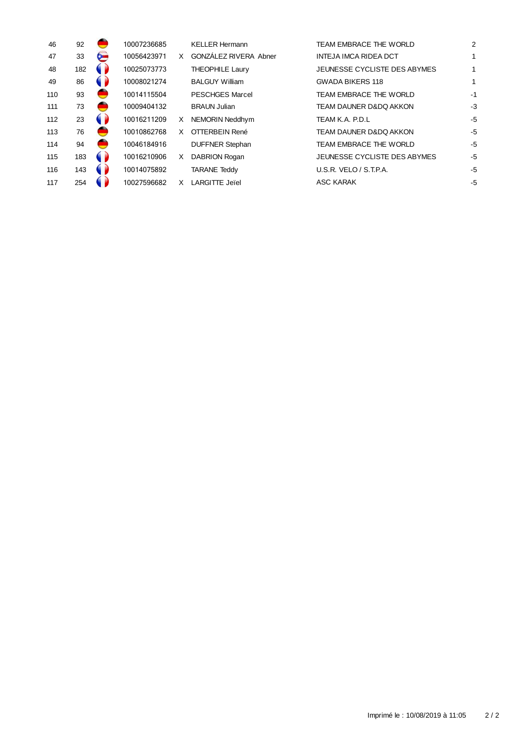| 46  | 92  |   | 10007236685 |   | <b>KELLER Hermann</b>  | TEAM EMBRACE THE WORLD            | 2    |
|-----|-----|---|-------------|---|------------------------|-----------------------------------|------|
| 47  | 33  | ⊶ | 10056423971 | X | GONZÁLEZ RIVERA Abner  | <b>INTEJA IMCA RIDEA DCT</b>      | 1    |
| 48  | 182 |   | 10025073773 |   | <b>THEOPHILE Laury</b> | JEUNESSE CYCLISTE DES ABYMES      | 1    |
| 49  | 86  |   | 10008021274 |   | <b>BALGUY William</b>  | <b>GWADA BIKERS 118</b>           | 1    |
| 110 | 93  |   | 10014115504 |   | <b>PESCHGES Marcel</b> | TEAM EMBRACE THE WORLD            | $-1$ |
| 111 | 73  |   | 10009404132 |   | <b>BRAUN Julian</b>    | <b>TEAM DAUNER D&amp;DQ AKKON</b> | -3   |
| 112 | 23  |   | 10016211209 | X | NEMORIN Neddhym        | TEAM K.A. P.D.L                   | $-5$ |
| 113 | 76  |   | 10010862768 | X | OTTERBEIN René         | <b>TEAM DAUNER D&amp;DQ AKKON</b> | $-5$ |
| 114 | 94  |   | 10046184916 |   | <b>DUFFNER Stephan</b> | TEAM EMBRACE THE WORLD            | -5   |
| 115 | 183 |   | 10016210906 | X | DABRION Rogan          | JEUNESSE CYCLISTE DES ABYMES      | $-5$ |
| 116 | 143 |   | 10014075892 |   | <b>TARANE Teddy</b>    | U.S.R. VELO / S.T.P.A.            | -5   |
| 117 | 254 |   | 10027596682 | X | <b>LARGITTE Jeiel</b>  | <b>ASC KARAK</b>                  | -5   |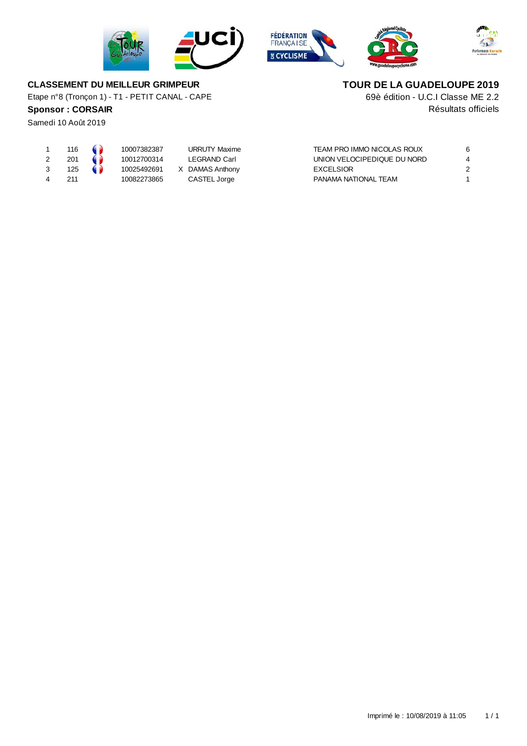





69è édition - U.C.I Classe ME 2.2 **TOUR DE LA GUADELOUPE 2019**



#### **CLASSEMENT DU MEILLEUR GRIMPEUR**

Etape n°8 (Tronçon 1) - T1 - PETIT CANAL - CAPE

## **Sponsor :** CORSAIR Resultats officiels

Samedi 10 Août 2019

| 1 | 116 | . .      | 10007 |
|---|-----|----------|-------|
| 2 | 201 |          | 10012 |
| 3 | 125 | u<br>. . | 10025 |
| 4 | 211 |          | 10082 |

7382387 URRUTY Maxime 2700314 LEGRAND Carl  $5492691$  X DAMAS Anthony 2 273865 CASTEL Jorge

| TEAM PRO IMMO NICOLAS ROUX  |   |
|-----------------------------|---|
| UNION VELOCIPEDIQUE DU NORD |   |
| EXCELSIOR                   | 2 |
| PANAMA NATIONAL TEAM        |   |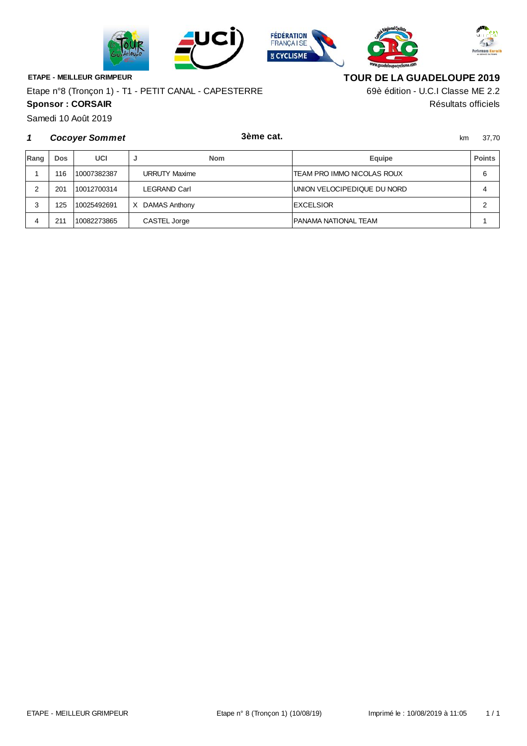







**ETAPE - MEILLEUR GRIMPEUR**

**Sponsor : CORSAIR** Résultats officiels Etape n°8 (Tronçon 1) - T1 - PETIT CANAL - CAPESTERRE

**TOUR DE LA GUADELOUPE 2019**

69è édition - U.C.I Classe ME 2.2

Samedi 10 Août 2019

#### **1** km 37,70 **Cocoyer Sommet 3ème cat.**

| Rang | Dos | UCI         |                      | <b>Nom</b> | Equipe                      | <b>Points</b> |
|------|-----|-------------|----------------------|------------|-----------------------------|---------------|
|      | 116 | 10007382387 | <b>URRUTY Maxime</b> |            | TEAM PRO IMMO NICOLAS ROUX  | 6             |
|      | 201 | 10012700314 | <b>LEGRAND Carl</b>  |            | UNION VELOCIPEDIQUE DU NORD |               |
|      | 125 | 10025492691 | DAMAS Anthony<br>X   |            | <b>EXCELSIOR</b>            |               |
|      | 211 | 10082273865 | CASTEL Jorge         |            | PANAMA NATIONAL TEAM        |               |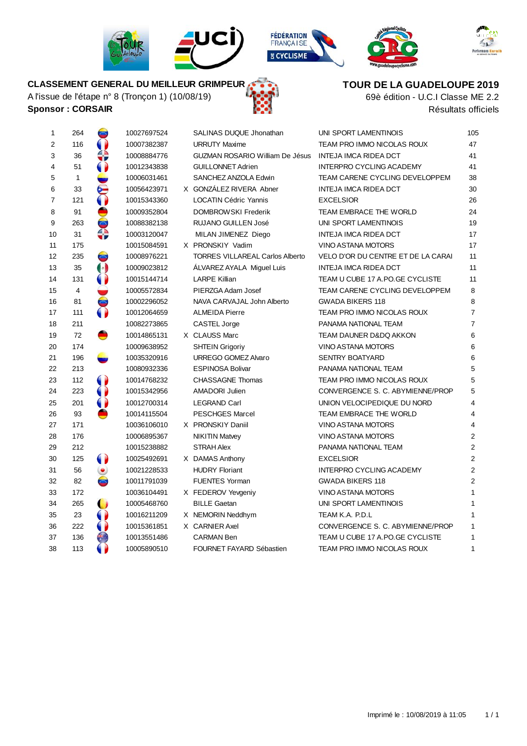









# **CLASSEMENT GENERAL DU MEILLEUR GRIMPEUR**

A l'issue de l'étape n° 8 (Tronçon 1) (10/08/19) **Sponsor : CORSAIR** Résultats officiels





69è édition - U.C.I Classe ME 2.2

| 1              | 264          | پ                    | 10027697524 | SALINAS DUQUE Jhonathan                | UNI SPORT LAMENTINOIS              | 105            |
|----------------|--------------|----------------------|-------------|----------------------------------------|------------------------------------|----------------|
| $\overline{2}$ | 116          |                      | 10007382387 | <b>URRUTY Maxime</b>                   | TEAM PRO IMMO NICOLAS ROUX         | 47             |
| 3              | 36           | 4D                   | 10008884776 | <b>GUZMAN ROSARIO William De Jésus</b> | <b>INTEJA IMCA RIDEA DCT</b>       | 41             |
| $\overline{4}$ | 51           |                      | 10012343838 | <b>GUILLONNET Adrien</b>               | <b>INTERPRO CYCLING ACADEMY</b>    | 41             |
| 5              | $\mathbf{1}$ |                      | 10006031461 | SANCHEZ ANZOLA Edwin                   | TEAM CARENE CYCLING DEVELOPPEM     | 38             |
| 6              | 33           | ⋐                    | 10056423971 | X GONZÁLEZ RIVERA Abner                | <b>INTEJA IMCA RIDEA DCT</b>       | 30             |
| $\overline{7}$ | 121          | $\bullet$            | 10015343360 | <b>LOCATIN Cédric Yannis</b>           | <b>EXCELSIOR</b>                   | 26             |
| 8              | 91           |                      | 10009352804 | <b>DOMBROW SKI Frederik</b>            | TEAM EMBRACE THE WORLD             | 24             |
| 9              | 263          | $\bullet$            | 10088382138 | <b>RUJANO GUILLEN José</b>             | UNI SPORT LAMENTINOIS              | 19             |
| 10             | 31           | ⇔                    | 10003120047 | MILAN JIMENEZ Diego                    | INTEJA IMCA RIDEA DCT              | 17             |
| 11             | 175          |                      | 10015084591 | X PRONSKIY Vadim                       | <b>VINO ASTANA MOTORS</b>          | 17             |
| 12             | 235          | $\bullet$            | 10008976221 | <b>TORRES VILLAREAL Carlos Alberto</b> | VELO D'OR DU CENTRE ET DE LA CARAI | 11             |
| 13             | 35           | $\left(\cdot\right)$ | 10009023812 | ALVAREZ AYALA Miguel Luis              | INTEJA IMCA RIDEA DCT              | 11             |
| 14             | 131          | 0                    | 10015144714 | <b>LARPE Killian</b>                   | TEAM U CUBE 17 A.PO.GE CYCLISTE    | 11             |
| 15             | 4            |                      | 10005572834 | PIERZGA Adam Josef                     | TEAM CARENE CYCLING DEVELOPPEM     | 8              |
| 16             | 81           | $\blacksquare$       | 10002296052 | NAVA CARVAJAL John Alberto             | <b>GWADA BIKERS 118</b>            | 8              |
| 17             | 111          | $\bullet$            | 10012064659 | <b>ALMEIDA Pierre</b>                  | TEAM PRO IMMO NICOLAS ROUX         | $\overline{7}$ |
| 18             | 211          |                      | 10082273865 | CASTEL Jorge                           | PANAMA NATIONAL TEAM               | $\overline{7}$ |
| 19             | 72           | ●                    | 10014865131 | X CLAUSS Marc                          | TEAM DAUNER D&DQ AKKON             | 6              |
| 20             | 174          |                      | 10009638952 | <b>SHTEIN Grigoriy</b>                 | <b>VINO ASTANA MOTORS</b>          | 6              |
| 21             | 196          |                      | 10035320916 | URREGO GOMEZ Alvaro                    | <b>SENTRY BOATYARD</b>             | 6              |
| 22             | 213          |                      | 10080932336 | <b>ESPINOSA Bolivar</b>                | PANAMA NATIONAL TEAM               | 5              |
| 23             | 112          | $\bullet$            | 10014768232 | <b>CHASSAGNE Thomas</b>                | TEAM PRO IMMO NICOLAS ROUX         | 5              |
| 24             | 223          | $\bullet$            | 10015342956 | <b>AMADORI Julien</b>                  | CONVERGENCE S. C. ABYMIENNE/PROP   | 5              |
| 25             | 201          | $\bullet$            | 10012700314 | <b>LEGRAND Carl</b>                    | UNION VELOCIPEDIQUE DU NORD        | 4              |
| 26             | 93           |                      | 10014115504 | <b>PESCHGES Marcel</b>                 | TEAM EMBRACE THE WORLD             | 4              |
| 27             | 171          |                      | 10036106010 | X PRONSKIY Daniil                      | <b>VINO ASTANA MOTORS</b>          | 4              |
| 28             | 176          |                      | 10006895367 | <b>NIKITIN Matvey</b>                  | <b>VINO ASTANA MOTORS</b>          | $\overline{2}$ |
| 29             | 212          |                      | 10015238882 | <b>STRAH Alex</b>                      | PANAMA NATIONAL TEAM               | $\overline{2}$ |
| 30             | 125          | $\bullet$            | 10025492691 | X DAMAS Anthony                        | <b>EXCELSIOR</b>                   | $\overline{2}$ |
| 31             | 56           | ۱                    | 10021228533 | <b>HUDRY Floriant</b>                  | INTERPRO CYCLING ACADEMY           | $\overline{2}$ |
| 32             | 82           | $\bullet$            | 10011791039 | <b>FUENTES Yorman</b>                  | <b>GWADA BIKERS 118</b>            | $\overline{2}$ |
| 33             | 172          |                      | 10036104491 | X FEDEROV Yevgeniy                     | <b>VINO ASTANA MOTORS</b>          | 1              |
| 34             | 265          |                      | 10005468760 | <b>BILLE Gaetan</b>                    | UNI SPORT LAMENTINOIS              | 1              |
| 35             | 23           | 0                    | 10016211209 | X NEMORIN Neddhym                      | TEAM K.A. P.D.L                    | 1              |
| 36             | 222          | $\bullet$            | 10015361851 | X CARNIER Axel                         | CONVERGENCE S. C. ABYMIENNE/PROP   | $\mathbf{1}$   |
| 37             | 136          | ÷,                   | 10013551486 | <b>CARMAN Ben</b>                      | TEAM U CUBE 17 A.PO.GE CYCLISTE    | $\mathbf{1}$   |
| 38             | 113          |                      | 10005890510 | FOURNET FAYARD Sébastien               | TEAM PRO IMMO NICOLAS ROUX         | 1              |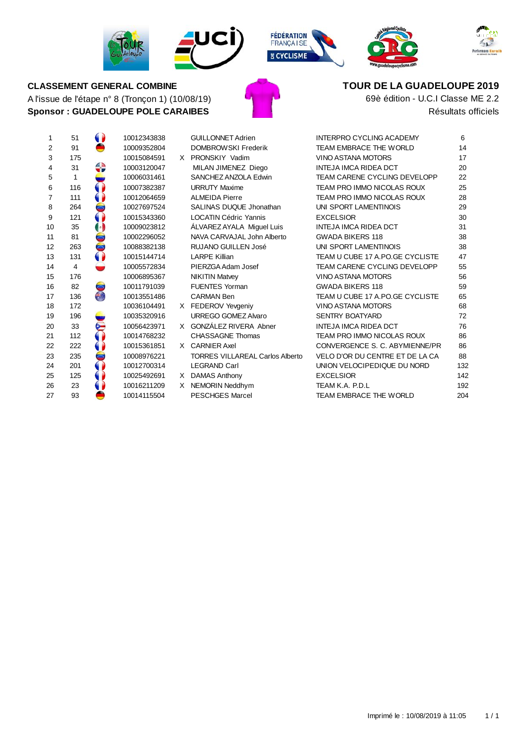









# A l'issue de l'étape n° 8 (Tronçon 1) (10/08/19) **Sponsor : GUADELOUPE POLE CARAIBES CLASSEMENT GENERAL COMBINE**



**TOUR DE LA GUADELOUPE 2019**

Résultats officiels 69è édition - U.C.I Classe ME 2.2

| 1                       | 51  | 1001 |
|-------------------------|-----|------|
| $\overline{\mathbf{c}}$ | 91  | 1000 |
| 3                       | 175 | 1001 |
| 4                       | 31  | 1000 |
| 5                       | 1   | 1000 |
| 6                       | 116 | 1000 |
| 7                       | 111 | 1001 |
| 8                       | 264 | 1002 |
| 9                       | 121 | 1001 |
| 10                      | 35  | 1000 |
| 11                      | 81  | 1000 |
| 12                      | 263 | 1008 |
| 13                      | 131 | 1001 |
| 14                      | 4   | 1000 |
| 15                      | 176 | 1000 |
| 16                      | 82  | 1001 |
| 17                      | 136 | 1001 |
| 18                      | 172 | 1003 |
| 19                      | 196 | 1003 |
| 20                      | 33  | 1005 |
| 21                      | 112 | 1001 |
| 22                      | 222 | 1001 |
| 23                      | 235 | 1000 |
| 24                      | 201 | 1001 |
| 25                      | 125 | 1002 |
| 26                      | 23  | 1001 |
| 27                      | 93  | 1001 |
|                         |     |      |

| 8 |   | GUILLONNET Adrien         |
|---|---|---------------------------|
| 4 |   | <b>DOMBROW SKI Fred</b>   |
| 1 | X | PRONSKIY Vadim            |
| 7 |   | MILAN JIMENEZ Di          |
| 1 |   | SANCHEZ ANZOLA E          |
| 7 |   | <b>URRUTY Maxime</b>      |
| 9 |   | <b>ALMEIDA Pierre</b>     |
| 4 |   | SALINAS DUQUE Jh          |
| 0 |   | <b>LOCATIN Cédric Yan</b> |
| 2 |   | ÁLVAREZ AYALA Mi          |
| 2 |   | NAVA CARVAJAL Jol         |
| 8 |   | RUJANO GUILLEN J          |
| 4 |   | <b>LARPE Killian</b>      |
| 4 |   | PIERZGA Adam Jose         |
| 7 |   | <b>NIKITIN Matvey</b>     |
| 9 |   | <b>FUENTES Yorman</b>     |
| 6 |   | <b>CARMAN Ben</b>         |
| 1 | X | FEDEROV Yevgeniy          |
| 6 |   | URREGO GOMEZ AM           |
| 1 | X | GONZÁLEZ RIVERA           |
| 2 |   | CHASSAGNE Thoma           |
| 1 | x | <b>CARNIER Axel</b>       |
| 1 |   | <b>TORRES VILLAREAL</b>   |
| 4 |   | <b>LEGRAND Carl</b>       |
| 1 | X | <b>DAMAS Anthony</b>      |
| 9 | X | NEMORIN Neddhym           |
| 4 |   | <b>PESCHGES Marcel</b>    |
|   |   |                           |

| 1              | 51             | $\bullet$             | 10012343838 |    | <b>GUILLONNET Adrien</b>               | <b>INTERPRO CYCLING ACADEMY</b>     | 6   |
|----------------|----------------|-----------------------|-------------|----|----------------------------------------|-------------------------------------|-----|
| 2              | 91             |                       | 10009352804 |    | DOMBROWSKI Frederik                    | TEAM EMBRACE THE WORLD              | 14  |
| 3              | 175            |                       | 10015084591 |    | X PRONSKIY Vadim                       | VINO ASTANA MOTORS                  | 17  |
| 4              | 31             | €                     | 10003120047 |    | MILAN JIMENEZ Diego                    | <b>INTEJA IMCA RIDEA DCT</b>        | 20  |
| 5              | 1              |                       | 10006031461 |    | SANCHEZ ANZOLA Edwin                   | TEAM CARENE CYCLING DEVELOPP        | 22  |
| 6              | 116            | $\bullet$             | 10007382387 |    | <b>URRUTY Maxime</b>                   | TEAM PRO IMMO NICOLAS ROUX          | 25  |
| $\overline{7}$ | 111            |                       | 10012064659 |    | <b>ALMEIDA Pierre</b>                  | TEAM PRO IMMO NICOLAS ROUX          | 28  |
| 8              | 264            | $\bullet$             | 10027697524 |    | SALINAS DUQUE Jhonathan                | UNI SPORT LAMENTINOIS               | 29  |
| 9              | 121            |                       | 10015343360 |    | <b>LOCATIN Cédric Yannis</b>           | <b>EXCELSIOR</b>                    | 30  |
| 10             | 35             | $\boldsymbol{\Theta}$ | 10009023812 |    | ALVAREZ AYALA Miguel Luis              | <b>INTEJA IMCA RIDEA DCT</b>        | 31  |
| 11             | 81             | $\bullet$             | 10002296052 |    | NAVA CARVAJAL John Alberto             | <b>GWADA BIKERS 118</b>             | 38  |
| 12             | 263            | $\bullet$             | 10088382138 |    | <b>RUJANO GUILLEN José</b>             | UNI SPORT LAMENTINOIS               | 38  |
| 13             | 131            |                       | 10015144714 |    | <b>LARPE Killian</b>                   | TEAM U CUBE 17 A.PO.GE CYCLISTE     | 47  |
| 14             | $\overline{4}$ |                       | 10005572834 |    | PIERZGA Adam Josef                     | <b>TEAM CARENE CYCLING DEVELOPP</b> | 55  |
| 15             | 176            |                       | 10006895367 |    | <b>NIKITIN Matvey</b>                  | <b>VINO ASTANA MOTORS</b>           | 56  |
| 16             | 82             | ۰                     | 10011791039 |    | <b>FUENTES Yorman</b>                  | <b>GWADA BIKERS 118</b>             | 59  |
| 17             | 136            | €                     | 10013551486 |    | <b>CARMAN Ben</b>                      | TEAM U CUBE 17 A.PO.GE CYCLISTE     | 65  |
| 18             | 172            |                       | 10036104491 |    | X FEDEROV Yevgeniy                     | VINO ASTANA MOTORS                  | 68  |
| 19             | 196            |                       | 10035320916 |    | URREGO GOMEZ Alvaro                    | <b>SENTRY BOATYARD</b>              | 72  |
| 20             | 33             | ⋐                     | 10056423971 |    | X GONZÁLEZ RIVERA Abner                | <b>INTEJA IMCA RIDEA DCT</b>        | 76  |
| 21             | 112            |                       | 10014768232 |    | <b>CHASSAGNE Thomas</b>                | TEAM PRO IMMO NICOLAS ROUX          | 86  |
| 22             | 222            |                       | 10015361851 |    | X CARNIER Axel                         | CONVERGENCE S. C. ABYMIENNE/PR      | 86  |
| 23             | 235            | $\bullet$             | 10008976221 |    | <b>TORRES VILLAREAL Carlos Alberto</b> | VELO D'OR DU CENTRE ET DE LA CA     | 88  |
| 24             | 201            |                       | 10012700314 |    | <b>LEGRAND Carl</b>                    | UNION VELOCIPEDIQUE DU NORD         | 132 |
| 25             | 125            |                       | 10025492691 | X. | <b>DAMAS Anthony</b>                   | <b>EXCELSIOR</b>                    | 142 |
| 26             | 23             |                       | 10016211209 |    | X NEMORIN Neddhym                      | TEAM K.A. P.D.L                     | 192 |
| 27             | 93             |                       | 10014115504 |    | <b>PESCHGES Marcel</b>                 | TEAM EMBRACE THE WORLD              | 204 |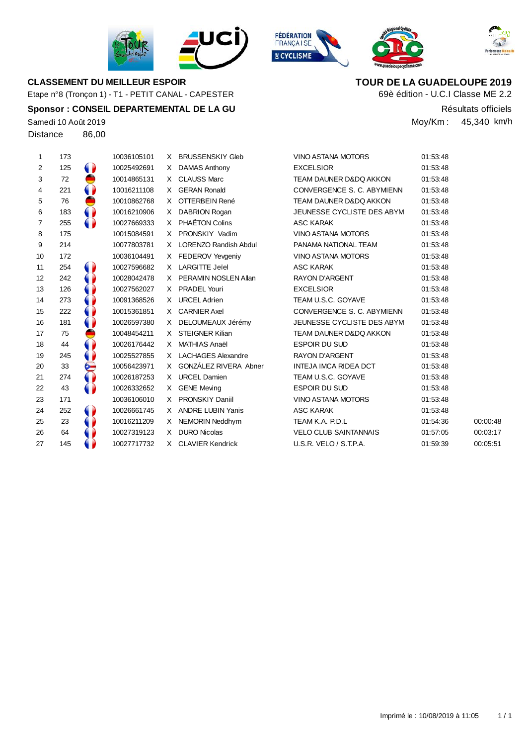

# **CLASSEMENT DU MEILLEUR ESPOIR TOUR DE LA GUADELOUPE 2019**

Etape n°8 (Tronçon 1) - T1 - PETIT CANAL - CAPESTER

#### **Sponsor : CONSEIL DEPARTEMENTAL DE LA GU** Résultats officiels

Samedi 10 Août 2019 Distance 86,00

| $\mathbf{1}$    | 173 |           | 10036105101 | X. | <b>BRUSSENSKIY Gleb</b> | <b>VINO ASTANA MOTORS</b>         | 01:53:48 |          |
|-----------------|-----|-----------|-------------|----|-------------------------|-----------------------------------|----------|----------|
| 2               | 125 | $\bullet$ | 10025492691 | X. | DAMAS Anthony           | <b>EXCELSIOR</b>                  | 01:53:48 |          |
| 3               | 72  | ●         | 10014865131 |    | X CLAUSS Marc           | <b>TEAM DAUNER D&amp;DQ AKKON</b> | 01:53:48 |          |
| 4               | 221 | $\bullet$ | 10016211108 |    | X GERAN Ronald          | CONVERGENCE S. C. ABYMIENN        | 01:53:48 |          |
| 5               | 76  | ●         | 10010862768 | X. | OTTERBEIN René          | <b>TEAM DAUNER D&amp;DQ AKKON</b> | 01:53:48 |          |
| 6               | 183 | $\bullet$ | 10016210906 |    | X DABRION Rogan         | JEUNESSE CYCLISTE DES ABYM        | 01:53:48 |          |
| $\overline{7}$  | 255 |           | 10027669333 |    | X PHAËTON Colins        | <b>ASC KARAK</b>                  | 01:53:48 |          |
| 8               | 175 |           | 10015084591 |    | X PRONSKIY Vadim        | VINO ASTANA MOTORS                | 01:53:48 |          |
| 9               | 214 |           | 10077803781 |    | X LORENZO Randish Abdul | PANAMA NATIONAL TEAM              | 01:53:48 |          |
| 10              | 172 |           | 10036104491 |    | X FEDEROV Yevgeniy      | VINO ASTANA MOTORS                | 01:53:48 |          |
| 11              | 254 |           | 10027596682 |    | X LARGITTE Jeïel        | ASC KARAK                         | 01:53:48 |          |
| 12 <sup>2</sup> | 242 |           | 10028042478 |    | X PERAMIN NOSLEN Allan  | <b>RAYON D'ARGENT</b>             | 01:53:48 |          |
| 13              | 126 |           | 10027562027 |    | X PRADEL Youri          | <b>EXCELSIOR</b>                  | 01:53:48 |          |
| 14              | 273 |           | 10091368526 |    | X URCEL Adrien          | TEAM U.S.C. GOYAVE                | 01:53:48 |          |
| 15              | 222 |           | 10015361851 |    | X CARNIER Axel          | CONVERGENCE S. C. ABYMIENN        | 01:53:48 |          |
| 16              | 181 |           | 10026597380 |    | X DELOUMEAUX Jérémy     | JEUNESSE CYCLISTE DES ABYM        | 01:53:48 |          |
| 17              | 75  |           | 10048454211 | X. | STEIGNER Kilian         | <b>TEAM DAUNER D&amp;DQ AKKON</b> | 01:53:48 |          |
| 18              | 44  |           | 10026176442 | X  | MATHIAS Anaël           | <b>ESPOIR DU SUD</b>              | 01:53:48 |          |
| 19              | 245 |           | 10025527855 |    | X LACHAGES Alexandre    | <b>RAYON D'ARGENT</b>             | 01:53:48 |          |
| 20              | 33  | ⋐         | 10056423971 | X  | GONZÁLEZ RIVERA Abner   | INTEJA IMCA RIDEA DCT             | 01:53:48 |          |
| 21              | 274 |           | 10026187253 |    | X URCEL Damien          | TEAM U.S.C. GOYAVE                | 01:53:48 |          |
| 22              | 43  |           | 10026332652 |    | X GENE Meving           | <b>ESPOIR DU SUD</b>              | 01:53:48 |          |
| 23              | 171 |           | 10036106010 |    | X PRONSKIY Daniil       | VINO ASTANA MOTORS                | 01:53:48 |          |
| 24              | 252 | $\bullet$ | 10026661745 |    | X ANDRE LUBIN Yanis     | ASC KARAK                         | 01:53:48 |          |
| 25              | 23  |           | 10016211209 | X. | NEMORIN Neddhym         | TEAM K.A. P.D.L                   | 01:54:36 | 00:00:48 |
| 26              | 64  |           | 10027319123 | X. | <b>DURO Nicolas</b>     | <b>VELO CLUB SAINTANNAIS</b>      | 01:57:05 | 00:03:17 |
| 27              | 145 |           | 10027717732 |    | X CLAVIER Kendrick      | U.S.R. VELO / S.T.P.A.            | 01:59:39 | 00:05:51 |

**FÉDÉRATION**<br>FRANÇA I SE **E CYCLISME** 



69è édition - U.C.I Classe ME 2.2

Moy/Km : 45,340 km/h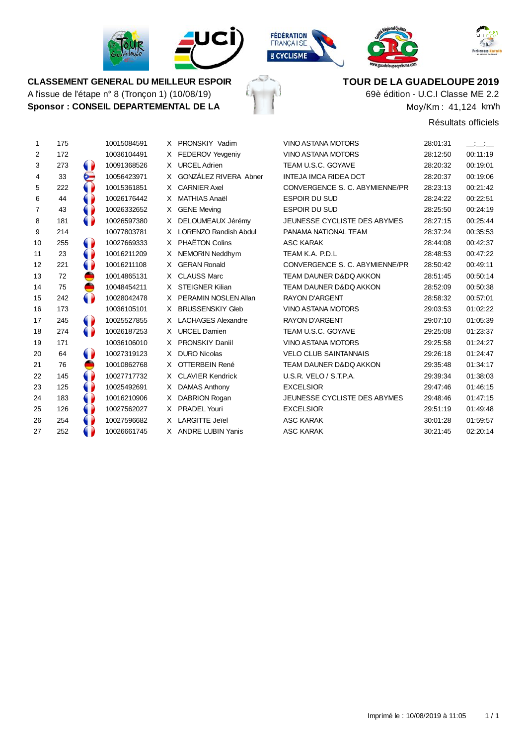

A l'issue de l'étape n° 8 (Tronçon 1) (10/08/19) **Sponsor : CONSEIL DEPARTEMENTAL DE LA**







VINO ASTANA MOTORS 28:01:31



**CLASSEMENT GENERAL DU MEILLEUR ESPOIR TOUR DE LA GUADELOUPE 2019**

69è édition - U.C.I Classe ME 2.2

Moy/Km : 41,124 km/h

Résultats officiels

| 1              | 175 | 10015084591 |
|----------------|-----|-------------|
| 2              | 172 | 10036104491 |
| 3              | 273 | 10091368526 |
| 4              | 33  | 10056423971 |
| 5              | 222 | 10015361851 |
| 6              | 44  | 10026176442 |
| $\overline{7}$ | 43  | 10026332652 |
| 8              | 181 | 10026597380 |
| 9              | 214 | 10077803781 |
| 10             | 255 | 10027669333 |
| 11             | 23  | 10016211209 |
| 12             | 221 | 10016211108 |
| 13             | 72  | 10014865131 |
| 14             | 75  | 10048454211 |
| 15             | 242 | 10028042478 |
| 16             | 173 | 10036105101 |
| 17             | 245 | 10025527855 |
| 18             | 274 | 10026187253 |
| 19             | 171 | 10036106010 |
| 20             | 64  | 10027319123 |
| 21             | 76  | 10010862768 |
| 22             | 145 | 10027717732 |
| 23             | 125 | 10025492691 |
| 24             | 183 | 10016210906 |
| 25             | 126 | 10027562027 |
| 26             | 254 | 10027596682 |
| 27             | 252 | 10026661745 |
|                |     |             |

| X              | PRONSKIY Vadim               |
|----------------|------------------------------|
| $\times$       | <b>FEDEROV Yevgeniy</b>      |
| X.             | <b>URCEL Adrien</b>          |
| X              | GONZÁLEZ RIVERA Abner        |
| X.             | <b>CARNIFR Axel</b>          |
| $\times$       | <b>MATHIAS Anaël</b>         |
| $\mathsf{X}^-$ | <b>GENE Meving</b>           |
| X.             | DELOUMEAUX Jérémy            |
| $\mathsf{X}^-$ | <b>LORENZO Randish Abdul</b> |
| X.             | <b>PHAËTON Colins</b>        |
| X.             | NEMORIN Neddhym              |
| X.             | <b>GFRAN Ronald</b>          |
| $\mathsf{X}$   | <b>CLAUSS Marc</b>           |
| $\mathsf{X}$   | <b>STEIGNER Kilian</b>       |
| $\mathsf{X}$   | PERAMIN NOSLEN Allan         |
| $\times$       | <b>BRUSSENSKIY Gleb</b>      |
| X              | <b>LACHAGES Alexandre</b>    |
| X              | <b>URCEL Damien</b>          |
| X              | <b>PRONSKIY Daniil</b>       |
| X              | DURO Nicolas                 |
| X              | OTTERBEIN René               |
| $\times$       | <b>CLAVIER Kendrick</b>      |
| $\times$       | <b>DAMAS Anthony</b>         |
| $\mathsf{X}^-$ | DABRION Rogan                |
| X.             | <b>PRADEL Youri</b>          |

| 2              | 172 |           | 10036104491 |    | X FEDEROV Yevgeniy      | <b>VINO ASTANA MOTORS</b>         | 28:12:50 | 00:11:19 |
|----------------|-----|-----------|-------------|----|-------------------------|-----------------------------------|----------|----------|
| 3              | 273 | 0         | 10091368526 |    | X URCEL Adrien          | TEAM U.S.C. GOYAVE                | 28:20:32 | 00:19:01 |
| 4              | 33  | ⋐         | 10056423971 | X  | GONZÁLEZ RIVERA Abner   | <b>INTEJA IMCA RIDEA DCT</b>      | 28:20:37 | 00:19:06 |
| 5              | 222 | 0         | 10015361851 |    | X CARNIER Axel          | CONVERGENCE S. C. ABYMIENNE/PR    | 28:23:13 | 00:21:42 |
| 6              | 44  |           | 10026176442 | X  | <b>MATHIAS Anaël</b>    | <b>ESPOIR DU SUD</b>              | 28:24:22 | 00:22:51 |
| $\overline{7}$ | 43  |           | 10026332652 |    | X GENE Meving           | <b>ESPOIR DU SUD</b>              | 28:25:50 | 00:24:19 |
| 8              | 181 |           | 10026597380 | X  | DELOUMEAUX Jérémy       | JEUNESSE CYCLISTE DES ABYMES      | 28:27:15 | 00:25:44 |
| 9              | 214 |           | 10077803781 |    | X LORENZO Randish Abdul | PANAMA NATIONAL TEAM              | 28:37:24 | 00:35:53 |
| 10             | 255 | $\bullet$ | 10027669333 |    | X PHAËTON Colins        | <b>ASC KARAK</b>                  | 28:44:08 | 00:42:37 |
| 11             | 23  | 0         | 10016211209 | X. | NEMORIN Neddhym         | TEAM K.A. P.D.L                   | 28:48:53 | 00:47:22 |
| 12             | 221 |           | 10016211108 | X  | <b>GERAN Ronald</b>     | CONVERGENCE S. C. ABYMIENNE/PR    | 28:50:42 | 00:49:11 |
| 13             | 72  | ●         | 10014865131 |    | X CLAUSS Marc           | <b>TEAM DAUNER D&amp;DQ AKKON</b> | 28:51:45 | 00:50:14 |
| 14             | 75  | ●         | 10048454211 |    | X STEIGNER Kilian       | TEAM DAUNER D&DQ AKKON            | 28:52:09 | 00:50:38 |
| 15             | 242 | $\bullet$ | 10028042478 |    | X PERAMIN NOSLEN Allan  | <b>RAYON D'ARGENT</b>             | 28:58:32 | 00:57:01 |
| 16             | 173 |           | 10036105101 |    | X BRUSSENSKIY Gleb      | VINO ASTANA MOTORS                | 29:03:53 | 01:02:22 |
| 17             | 245 | $\bullet$ | 10025527855 |    | X LACHAGES Alexandre    | <b>RAYON D'ARGENT</b>             | 29:07:10 | 01:05:39 |
| 18             | 274 |           | 10026187253 |    | X URCEL Damien          | TEAM U.S.C. GOYAVE                | 29:25:08 | 01:23:37 |
| 19             | 171 |           | 10036106010 | X  | <b>PRONSKIY Daniil</b>  | VINO ASTANA MOTORS                | 29:25:58 | 01:24:27 |
| 20             | 64  | $\bullet$ | 10027319123 | X  | <b>DURO Nicolas</b>     | <b>VELO CLUB SAINTANNAIS</b>      | 29:26:18 | 01:24:47 |
| 21             | 76  | ●         | 10010862768 | X  | OTTERBEIN René          | <b>TEAM DAUNER D&amp;DQ AKKON</b> | 29:35:48 | 01:34:17 |
| 22             | 145 | $\bullet$ | 10027717732 |    | X CLAVIER Kendrick      | U.S.R. VELO / S.T.P.A.            | 29:39:34 | 01:38:03 |
| 23             | 125 |           | 10025492691 | X  | <b>DAMAS Anthony</b>    | <b>EXCELSIOR</b>                  | 29:47:46 | 01:46:15 |
| 24             | 183 |           | 10016210906 | X. | DABRION Rogan           | JEUNESSE CYCLISTE DES ABYMES      | 29:48:46 | 01:47:15 |
| 25             | 126 |           | 10027562027 | X  | <b>PRADEL Youri</b>     | <b>EXCELSIOR</b>                  | 29:51:19 | 01:49:48 |
| 26             | 254 |           | 10027596682 |    | X LARGITTE Jeïel        | <b>ASC KARAK</b>                  | 30:01:28 | 01:59:57 |
| 27             | 252 |           | 10026661745 |    | X ANDRE LUBIN Yanis     | <b>ASC KARAK</b>                  | 30:21:45 | 02:20:14 |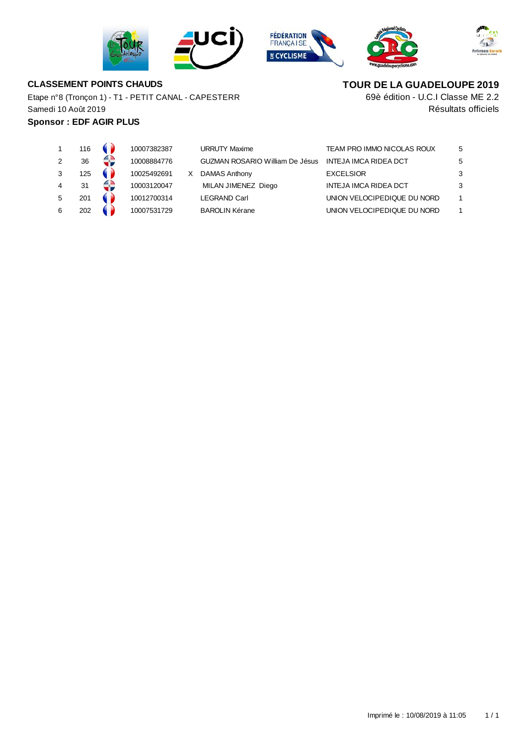







# **CLASSEMENT POINTS CHAUDS**

Etape n°8 (Tronçon 1) - T1 - PETIT CANAL - CAPESTERR Samedi 10 Août 2019

## **Sponsor : EDF AGIR PLUS**

**TOUR DE LA GUADELOUPE 2019**

Résultats officiels 69è édition - U.C.I Classe ME 2.2

|   | 116 |   | 10007382387 |   | <b>URRUTY Maxime</b>                   | TEAM PRO IMMO NICOLAS ROUX   | 5 |
|---|-----|---|-------------|---|----------------------------------------|------------------------------|---|
| 2 | 36  | 4 | 10008884776 |   | <b>GUZMAN ROSARIO William De Jésus</b> | <b>INTEJA IMCA RIDEA DCT</b> | 5 |
| 3 | 125 |   | 10025492691 | X | DAMAS Anthony                          | <b>EXCELSIOR</b>             | 3 |
| 4 | 31  | € | 10003120047 |   | MILAN JIMENEZ Diego                    | <b>INTEJA IMCA RIDEA DCT</b> | 3 |
| 5 | 201 |   | 10012700314 |   | <b>LEGRAND Carl</b>                    | UNION VELOCIPEDIQUE DU NORD  |   |
| 6 | 202 |   | 10007531729 |   | <b>BAROLIN Kérane</b>                  | UNION VELOCIPEDIQUE DU NORD  |   |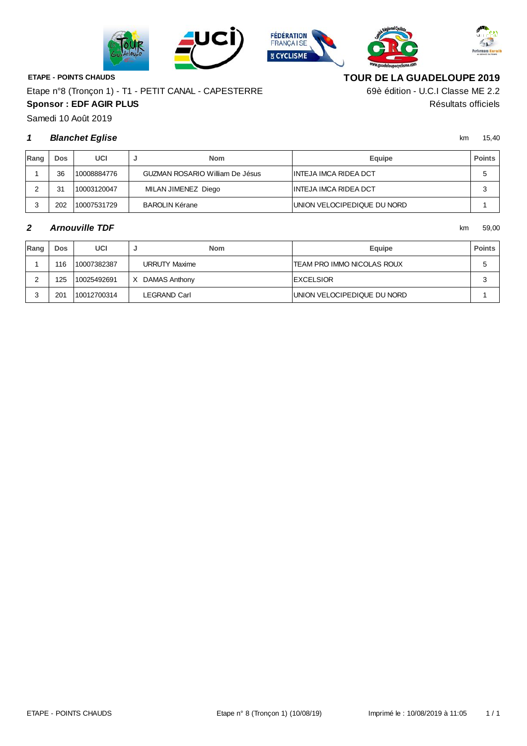







**ETAPE - POINTS CHAUDS**

**Sponsor : EDF AGIR PLUS** Résultats officiels Etape n°8 (Tronçon 1) - T1 - PETIT CANAL - CAPESTERRE

**TOUR DE LA GUADELOUPE 2019**

69è édition - U.C.I Classe ME 2.2

Samedi 10 Août 2019

#### **1** km 15,40 **Blanchet Eglise**

| Rang | Dos. | UCI         | <b>Nom</b>                             | <b>Equipe</b>               | <b>Points</b> |
|------|------|-------------|----------------------------------------|-----------------------------|---------------|
|      | 36   | 10008884776 | <b>GUZMAN ROSARIO William De Jésus</b> | INTEJA IMCA RIDEA DCT       | с             |
|      | 31   | 10003120047 | MILAN JIMENEZ Diego                    | INTEJA IMCA RIDEA DCT       | c<br>×.       |
|      | 202  | 10007531729 | <b>BAROLIN Kérane</b>                  | UNION VELOCIPEDIQUE DU NORD |               |

#### **2** km 59,00 **Arnouville TDF**

| Rang | Dos | UCI         |                      | <b>Nom</b> | <b>Equipe</b>               | <b>Points</b> |
|------|-----|-------------|----------------------|------------|-----------------------------|---------------|
|      | 116 | 10007382387 | <b>URRUTY Maxime</b> |            | TEAM PRO IMMO NICOLAS ROUX  |               |
|      | 125 | 10025492691 | DAMAS Anthony<br>X   |            | <b>EXCELSIOR</b>            | 3             |
|      | 201 | 10012700314 | LEGRAND Carl         |            | UNION VELOCIPEDIQUE DU NORD |               |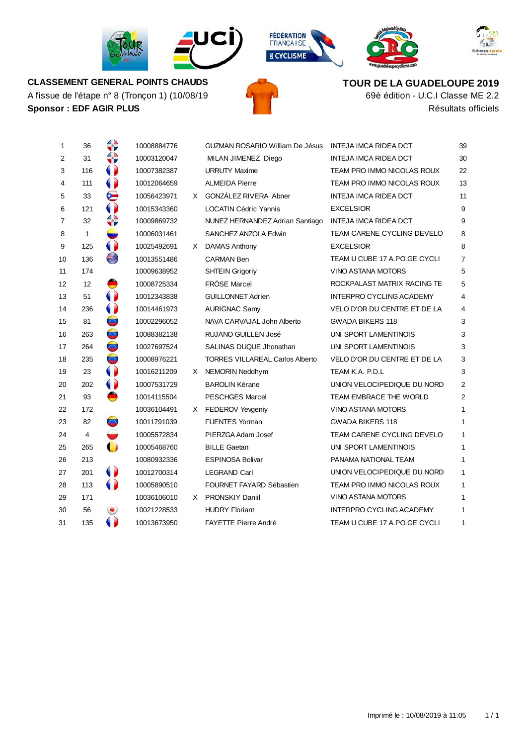









**Sponsor : EDF AGIR PLUS** Résultats officiels A l'issue de l'étape n° 8 (Tronçon 1) (10/08/19 **CLASSEMENT GENERAL POINTS CHAUDS**

**TOUR DE LA GUADELOUPE 2019**

69è édition - U.C.I Classe ME 2.2

| 1              | 36             | v v                      | 10008884776 |    | GUZMAN ROSARIO William De Jésus INTEJA IMCA RIDEA DCT |                                   | 39             |
|----------------|----------------|--------------------------|-------------|----|-------------------------------------------------------|-----------------------------------|----------------|
| $\overline{2}$ | 31             |                          | 10003120047 |    | MILAN JIMENEZ Diego                                   | INTEJA IMCA RIDEA DCT             | 30             |
| 3              | 116            |                          | 10007382387 |    | <b>URRUTY Maxime</b>                                  | TEAM PRO IMMO NICOLAS ROUX        | 22             |
| 4              | 111            |                          | 10012064659 |    | <b>ALMEIDA Pierre</b>                                 | TEAM PRO IMMO NICOLAS ROUX        | 13             |
| 5              | 33             | ဗ                        | 10056423971 |    | X GONZÁLEZ RIVERA Abner                               | <b>INTEJA IMCA RIDEA DCT</b>      | 11             |
| 6              | 121            |                          | 10015343360 |    | <b>LOCATIN Cédric Yannis</b>                          | <b>EXCELSIOR</b>                  | 9              |
| $\overline{7}$ | 32             | AD.                      | 10009869732 |    | NUNEZ HERNANDEZ Adrian Santiago                       | INTEJA IMCA RIDEA DCT             | 9              |
| 8              | 1              |                          | 10006031461 |    | SANCHEZ ANZOLA Edwin                                  | <b>TEAM CARENE CYCLING DEVELO</b> | 8              |
| 9              | 125            | 0                        | 10025492691 |    | X DAMAS Anthony                                       | <b>EXCELSIOR</b>                  | 8              |
| 10             | 136            | O                        | 10013551486 |    | <b>CARMAN Ben</b>                                     | TEAM U CUBE 17 A.PO.GE CYCLI      | 7              |
| 11             | 174            |                          | 10009638952 |    | <b>SHTEIN Grigoriy</b>                                | VINO ASTANA MOTORS                | 5              |
| 12             | 12             | Э                        | 10008725334 |    | <b>FRÖSE Marcel</b>                                   | ROCKPALAST MATRIX RACING TE       | 5              |
| 13             | 51             |                          | 10012343838 |    | <b>GUILLONNET Adrien</b>                              | <b>INTERPRO CYCLING ACADEMY</b>   | 4              |
| 14             | 236            |                          | 10014461973 |    | <b>AURIGNAC Samy</b>                                  | VELO D'OR DU CENTRE ET DE LA      | 4              |
| 15             | 81             | $\overline{\phantom{a}}$ | 10002296052 |    | NAVA CARVAJAL John Alberto                            | <b>GWADA BIKERS 118</b>           | 3              |
| 16             | 263            | $\bullet$                | 10088382138 |    | <b>RUJANO GUILLEN José</b>                            | UNI SPORT LAMENTINOIS             | 3              |
| 17             | 264            | $\bullet$                | 10027697524 |    | SALINAS DUQUE Jhonathan                               | UNI SPORT LAMENTINOIS             | 3              |
| 18             | 235            | $\blacksquare$           | 10008976221 |    | <b>TORRES VILLAREAL Carlos Alberto</b>                | VELO D'OR DU CENTRE ET DE LA      | 3              |
| 19             | 23             |                          | 10016211209 | X. | NEMORIN Neddhym                                       | TEAM K.A. P.D.L                   | 3              |
| 20             | 202            | 0                        | 10007531729 |    | <b>BAROLIN Kérane</b>                                 | UNION VELOCIPEDIQUE DU NORD       | $\overline{2}$ |
| 21             | 93             |                          | 10014115504 |    | <b>PESCHGES Marcel</b>                                | TEAM EMBRACE THE WORLD            | $\overline{2}$ |
| 22             | 172            |                          | 10036104491 |    | X FEDEROV Yevgeniy                                    | VINO ASTANA MOTORS                | 1              |
| 23             | 82             | $\sum_{i=1}^{n}$         | 10011791039 |    | <b>FUENTES Yorman</b>                                 | <b>GWADA BIKERS 118</b>           | 1              |
| 24             | $\overline{4}$ |                          | 10005572834 |    | PIERZGA Adam Josef                                    | TEAM CARENE CYCLING DEVELO        | 1              |
| 25             | 265            | $\mathbf{\bullet}$       | 10005468760 |    | <b>BILLE Gaetan</b>                                   | UNI SPORT LAMENTINOIS             | 1              |
| 26             | 213            |                          | 10080932336 |    | <b>ESPINOSA Bolivar</b>                               | PANAMA NATIONAL TEAM              | 1              |
| 27             | 201            |                          | 10012700314 |    | <b>LEGRAND Carl</b>                                   | UNION VELOCIPEDIQUE DU NORD       | $\mathbf{1}$   |
| 28             | 113            | $\bullet$                | 10005890510 |    | FOURNET FAYARD Sébastien                              | TEAM PRO IMMO NICOLAS ROUX        | 1              |
| 29             | 171            |                          | 10036106010 |    | X PRONSKIY Daniil                                     | VINO ASTANA MOTORS                | 1              |
| 30             | 56             | ۱                        | 10021228533 |    | <b>HUDRY Floriant</b>                                 | INTERPRO CYCLING ACADEMY          | 1              |
| 31             | 135            |                          | 10013673950 |    | <b>FAYETTE Pierre André</b>                           | TEAM U CUBE 17 A.PO.GE CYCLI      | 1              |
|                |                |                          |             |    |                                                       |                                   |                |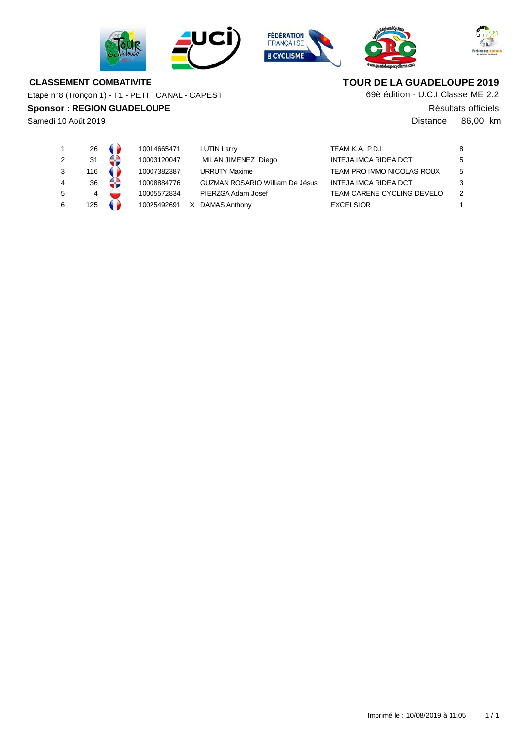







#### **CLASSEMENT COMBATIVITE**

Etape n°8 (Tronçon 1) - T1 - PETIT CANAL - CAPEST

#### **Sponsor : REGION GUADELOUPE**

Samedi 10 Août 2019

# **TOUR DE LA GUADELOUPE 2019**

69è édition - U.C.I Classe ME 2.2

Résultats officiels

Distance 86,00 km

|   | 26  | 10014665471 |   | <b>LUTIN Larry</b>                     | TEAM K.A. P.D.L              | 8  |
|---|-----|-------------|---|----------------------------------------|------------------------------|----|
|   | 31  | 10003120047 |   | MILAN JIMENEZ Diego                    | <b>INTEJA IMCA RIDEA DCT</b> | 5  |
|   | 116 | 10007382387 |   | <b>URRUTY Maxime</b>                   | TEAM PRO IMMO NICOLAS ROUX   | -5 |
|   | 36  | 10008884776 |   | <b>GUZMAN ROSARIO William De Jésus</b> | <b>INTEJA IMCA RIDEA DCT</b> | 3  |
| 5 |     | 10005572834 |   | PIERZGA Adam Josef                     | TEAM CARENE CYCLING DEVELO   | 2  |
|   | 125 | 10025492691 | x | DAMAS Anthony                          | <b>EXCELSIOR</b>             |    |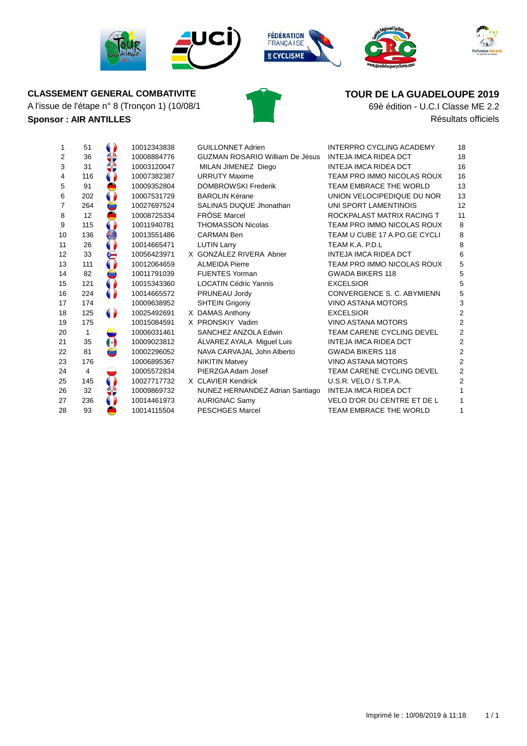



# A l'issue de l'étape n° 8 (Tronçon 1) (10/08/1 **69è édition - U.C.I Classe ME 2.2**



# **CLASSEMENT GENERAL COMBATIVITE TOUR DE LA GUADELOUPE** 2019

**Sponsor :** AIR ANTILLES **Résultats officiels** 

| 1              | 51  |                      | 10012343838 | <b>GUILLONNET Adrien</b>               | <b>INTERPRO CYCLING ACADEMY</b> | 18             |
|----------------|-----|----------------------|-------------|----------------------------------------|---------------------------------|----------------|
| 2              | 36  |                      | 10008884776 | <b>GUZMAN ROSARIO William De Jésus</b> | <b>INTEJA IMCA RIDEA DCT</b>    | 18             |
| 3              | 31  |                      | 10003120047 | MILAN JIMENEZ Diego                    | <b>INTEJA IMCA RIDEA DCT</b>    | 16             |
| 4              | 116 |                      | 10007382387 | <b>URRUTY Maxime</b>                   | TEAM PRO IMMO NICOLAS ROUX      | 16             |
| 5              | 91  |                      | 10009352804 | <b>DOMBROWSKI Frederik</b>             | TEAM EMBRACE THE WORLD          | 13             |
| 6              | 202 |                      | 10007531729 | <b>BAROLIN Kérane</b>                  | UNION VELOCIPEDIQUE DU NOR      | 13             |
| $\overline{7}$ | 264 | $\bullet$            | 10027697524 | SALINAS DUQUE Jhonathan                | UNI SPORT LAMENTINOIS           | 12             |
| 8              | 12  |                      | 10008725334 | <b>FRÖSE Marcel</b>                    | ROCKPALAST MATRIX RACING T      | 11             |
| 9              | 115 |                      | 10011940781 | <b>THOMASSON Nicolas</b>               | TEAM PRO IMMO NICOLAS ROUX      | 8              |
| 10             | 136 | €                    | 10013551486 | <b>CARMAN Ben</b>                      | TEAM U CUBE 17 A.PO.GE CYCLI    | 8              |
| 11             | 26  |                      | 10014665471 | <b>LUTIN Larry</b>                     | TEAM K.A. P.D.L                 | 8              |
| 12             | 33  | ⋐                    | 10056423971 | X GONZÁLEZ RIVERA Abner                | <b>INTEJA IMCA RIDEA DCT</b>    | 6              |
| 13             | 111 |                      | 10012064659 | <b>ALMEIDA Pierre</b>                  | TEAM PRO IMMO NICOLAS ROUX      | 5              |
| 14             | 82  | ها                   | 10011791039 | <b>FUENTES Yorman</b>                  | <b>GWADA BIKERS 118</b>         | 5              |
| 15             | 121 |                      | 10015343360 | <b>LOCATIN Cédric Yannis</b>           | <b>EXCELSIOR</b>                | 5              |
| 16             | 224 | $\bullet$            | 10014665572 | PRUNEAU Jordy                          | CONVERGENCE S. C. ABYMIENN      | 5              |
| 17             | 174 |                      | 10009638952 | <b>SHTEIN Grigoriy</b>                 | VINO ASTANA MOTORS              | 3              |
| 18             | 125 | $\bullet$            | 10025492691 | X DAMAS Anthony                        | <b>EXCELSIOR</b>                | $\overline{2}$ |
| 19             | 175 |                      | 10015084591 | X PRONSKIY Vadim                       | <b>VINO ASTANA MOTORS</b>       | 2              |
| 20             | 1   |                      | 10006031461 | SANCHEZ ANZOLA Edwin                   | TEAM CARENE CYCLING DEVEL       | $\overline{2}$ |
| 21             | 35  | $\left(\cdot\right)$ | 10009023812 | ÁLVAREZ AYALA Miguel Luis              | <b>INTEJA IMCA RIDEA DCT</b>    | $\overline{2}$ |
| 22             | 81  | $\bullet$            | 10002296052 | NAVA CARVAJAL John Alberto             | <b>GWADA BIKERS 118</b>         | 2              |
| 23             | 176 |                      | 10006895367 | <b>NIKITIN Matvey</b>                  | VINO ASTANA MOTORS              | 2              |
| 24             | 4   |                      | 10005572834 | PIERZGA Adam Josef                     | TEAM CARENE CYCLING DEVEL       | $\overline{2}$ |
| 25             | 145 |                      | 10027717732 | X CLAVIER Kendrick                     | U.S.R. VELO / S.T.P.A.          | $\overline{2}$ |
| 26             | 32  |                      | 10009869732 | NUNEZ HERNANDEZ Adrian Santiago        | INTEJA IMCA RIDEA DCT           |                |
| 27             | 236 |                      | 10014461973 | <b>AURIGNAC Samy</b>                   | VELO D'OR DU CENTRE ET DE L     |                |
| 28             | 93  |                      | 10014115504 | <b>PESCHGES Marcel</b>                 | TEAM EMBRACE THE WORLD          |                |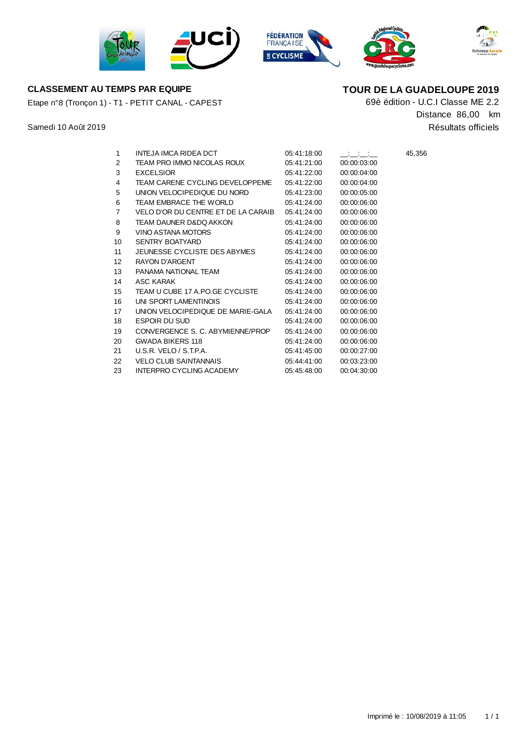







#### **CLASSEMENT AU TEMPS PAR EQUIPE TOUR DE LA GUADELOUPE 2019**

Etape n°8 (Tronçon 1) - T1 - PETIT CANAL - CAPEST

Samedi 10 Août 2019

69è édition - U.C.I Classe ME 2.2 Résultats officiels Distance 86,00 km

| 1                 | INTEJA IMCA RIDEA DCT               | 05:41:18:00 | ساست ساست   | 45,356 |
|-------------------|-------------------------------------|-------------|-------------|--------|
| 2                 | TEAM PRO IMMO NICOLAS ROUX          | 05:41:21:00 | 00:00:03:00 |        |
| 3                 | <b>EXCELSIOR</b>                    | 05:41:22:00 | 00:00:04:00 |        |
| 4                 | TEAM CARENE CYCLING DEVELOPPEME     | 05:41:22:00 | 00:00:04:00 |        |
| 5                 | UNION VELOCIPEDIQUE DU NORD         | 05:41:23:00 | 00:00:05:00 |        |
| 6                 | TEAM EMBRACE THE WORLD              | 05:41:24:00 | 00:00:06:00 |        |
| 7                 | VELO D'OR DU CENTRE ET DE LA CARAIB | 05:41:24:00 | 00:00:06:00 |        |
| 8                 | TEAM DAUNER D&DQ AKKON              | 05:41:24:00 | 00:00:06:00 |        |
| 9                 | VINO ASTANA MOTORS                  | 05:41:24:00 | 00:00:06:00 |        |
| 10                | <b>SENTRY BOATYARD</b>              | 05:41:24:00 | 00:00:06:00 |        |
| 11                | JEUNESSE CYCLISTE DES ABYMES        | 05:41:24:00 | 00:00:06:00 |        |
| $12 \overline{ }$ | <b>RAYON D'ARGENT</b>               | 05:41:24:00 | 00:00:06:00 |        |
| 13                | PANAMA NATIONAL TEAM                | 05:41:24:00 | 00:00:06:00 |        |
| 14                | ASC KARAK                           | 05:41:24:00 | 00:00:06:00 |        |
| 15                | TEAM U CUBE 17 A.PO.GE CYCLISTE     | 05:41:24:00 | 00:00:06:00 |        |
| 16                | UNI SPORT LAMENTINOIS               | 05:41:24:00 | 00:00:06:00 |        |
| 17                | UNION VELOCIPEDIQUE DE MARIE-GALA   | 05:41:24:00 | 00:00:06:00 |        |
| 18                | <b>ESPOIR DU SUD</b>                | 05:41:24:00 | 00:00:06:00 |        |
| 19                | CONVERGENCE S. C. ABYMIENNE/PROP    | 05:41:24.00 | 00:00:06:00 |        |
| 20                | <b>GWADA BIKERS 118</b>             | 05:41:24:00 | 00:00:06:00 |        |
| 21                | U.S.R. VELO / S.T.P.A.              | 05:41:45:00 | 00:00:27:00 |        |
| 22                | <b>VELO CLUB SAINTANNAIS</b>        | 05:44:41:00 | 00:03:23:00 |        |

INTERPRO CYCLING ACADEMY 05:45:48:00 00:04:30:00